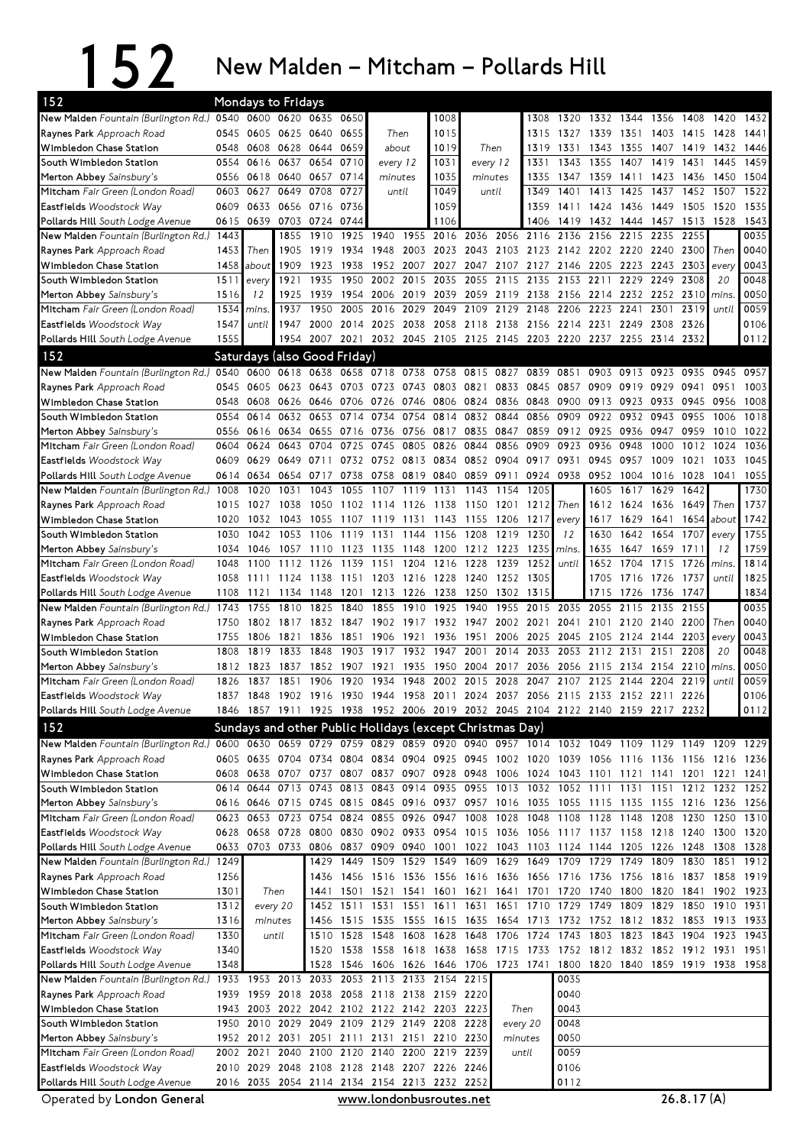## 152 New Malden – Mitcham – Pollards Hill

| New Malden Fountain (Burlington Rd.) 0540 0600 0620 0635<br>0650<br>1008<br>1308<br>1320 1332 1344<br>1356 1408<br>1420<br>1432<br>0605 0625 0640<br>0655<br>1015<br><b>Raynes Park</b> Approach Road<br>0545<br>Then<br>1315<br>1327<br>1339<br>1351 1403 1415<br>1428<br>1441<br>0628<br>0644<br>0659<br>1019<br>Then<br>1319<br>Wimbledon Chase Station<br>0548<br>0608<br>1331<br>1343<br>1355<br>1407<br>1419<br>1432<br>1446<br>about<br>0654<br>1031<br>1459<br>0616<br>0637<br>0710<br>1343<br>1355<br>1407<br>1419<br>1431<br>1445<br>South Wimbledon Station<br>0554<br>every 12<br>every 12<br>1331<br>0657<br>0714<br>1035<br>1347<br>1423<br>1504<br>Merton Abbey Sainsbury's<br>0556<br>0618 0640<br>minutes<br>1335<br>1359<br>1411<br>1436<br>1450<br>minutes<br>0727<br>1049<br>1522<br>M <b>itcham</b> Fair Green (London Road)<br>0627<br>0649<br>0708<br>1401<br>1413<br>1425<br>1437<br>1452<br>1507<br>0603<br>until<br>until<br>1349<br>0633<br>0656 0716<br>0736<br>1059<br>1436<br>1449<br>1520<br>1535<br>Eastfields Woodstock Way<br>0609<br>1359<br>1411<br>1424<br>1505<br>0639<br>0703<br>0724<br>0744<br>1106<br>1432<br>1528<br>1543<br>Pollards Hill South Lodge Avenue<br>0615<br>1406<br>1419<br>1444<br>1457<br>1513<br>0035<br>2016 2036<br>2255<br>New Malden Fountain (Burlington Rd.)<br>1443<br>1855<br>1910<br>1925<br>1940<br>1955<br>2056<br>2116 2136<br>2156<br>2215<br>2235<br>0040<br>1919<br>1948<br>2023 2043<br>2103<br>2123 2142<br>2202<br>2220<br>2240<br>2300<br>Then<br>1453<br>Then<br>1905<br>1934<br>2003<br><b>Raynes Park</b> Approach Road<br>0043<br>2243<br>1458<br>1909<br>1923<br>1938<br>1952<br>2007<br>2027<br>2047<br>2107<br>2127 2146<br>2205<br>2223<br>2303<br>Wimbledon Chase Station<br>about<br>every<br>2308<br>0048<br>1511<br>1921<br>1935<br>1950<br>2002<br>2015<br>2035<br>2055<br>2115<br>2135<br>2153<br>2211<br>2229<br>2249<br>20<br>South Wimbledon Station<br>every<br>0050<br>1516<br>12<br>1925<br>1939<br>1954 2006<br>2019<br>2039 2059<br>2119 2138 2156 2214<br>2232 2252 2310 mins<br>Merton Abbey Sainsbury's<br>0059<br>1534<br>2016<br>2049<br>2129<br>2148<br>2223<br>2319<br><b>Mitcham</b> Fair Green (London Road)<br>1937<br>1950<br>2005<br>2029<br>2109<br>2206<br>2241<br>2301<br>until<br>mins.<br>2014 2025<br>2038<br>2058 2118 2138 2156 2214<br>2231<br>2249<br>2308<br>2326<br>0106<br>Eastfields Woodstock Way<br>1547<br>until<br>1947<br>2000<br>0112<br>1555<br>2021 2032 2045 2105 2125 2145 2203 2220 2237<br>2332<br>Pollards Hill South Lodge Avenue<br>1954<br>2007<br>2255<br>2314<br>152<br>Saturdays (also Good Friday)<br>New Malden Fountain (Burlington Rd.) 0540<br>0600<br>0618<br>0638<br>0658<br>0718 0738<br>0758<br>0815<br>0839<br>0913<br>0923<br>0935<br>0945<br>0957<br>0827<br>0851<br>0903<br>1003<br>0605<br>0623<br>0643<br>0703 0723<br>0845<br><b>Raynes Park</b> Approach Road<br>0545<br>0743<br>0803 0821<br>0833<br>0857<br>0909<br>0919<br>0929<br>0941<br>0951<br>1008<br>0608<br>0626<br>0646<br>0706 0726<br>0746<br>0806 0824<br>0836 0848<br>0900<br>0913<br>0923<br>0933<br>0945<br>0956<br>Wimbledon Chase Station<br>0548<br>0554<br>0614<br>0632<br>0653<br>0734<br>0754<br>0814<br>0832<br>0844<br>0856<br>0909<br>0922<br>0932<br>0943<br>0955<br>1006<br>1018<br>South Wimbledon Station<br>0714<br>0912<br>1022<br>Merton Abbey Sainsbury's<br>0634<br>0716 0736<br>0756<br>0817 0835<br>0847<br>0859<br>0925<br>0936<br>0947<br>0959<br>1010<br>0556<br>0616<br>0655<br>0624<br>0643<br>0704<br>0725<br>0745<br>0805<br>0826<br>0844<br>0856<br>0909<br>0923<br>0936<br>0948<br>1000<br>1012<br>1024<br>1036<br><b>Mitcham</b> Fair Green (London Road)<br>0604<br>1033<br>1045<br>0629<br>0649<br>0732 0752<br>0813<br>0834 0852 0904<br>0917<br>0931<br>0945<br>0957<br>1009<br>1021<br>Eastfields Woodstock Way<br>0609<br>0711<br>0758<br>0924 0938<br>0952<br>1055<br>Pollards Hill South Lodge Avenue<br>0634<br>0654<br>0717<br>0738<br>0819<br>0840<br>0859<br>0911<br>1004<br>1016<br>1028<br>1041<br>0614<br>1730<br>New Malden Fountain (Burlington Rd.)<br>1031<br>1043<br>1055<br>1107<br>1119<br>1131<br>1143<br>1154<br>1205<br>1605<br>1617<br>1629<br>1642<br>1008<br>1020<br>1737<br>1212<br>1649<br>Then<br><b>Raynes Park</b> Approach Road<br>1027<br>1038<br>1050<br>1102 1114 1126<br>1138<br>1150<br>1201<br>Then<br>1612<br>1624<br>1636<br>1015<br>1742<br>1055<br>1206<br>1217<br>1654 about<br>1020<br>1032<br>1043<br>1107<br>1119<br>1131<br>1143<br>1155<br>1617<br>1629<br>1641<br>Wimbledon Chase Station<br>every<br>1755<br>1230<br>1707<br>1042<br>1053<br>1119<br>1156<br>1208<br>1219<br>12<br>1630<br>1642<br>1654<br>1030<br>1106<br>1131<br>1144<br>South Wimbledon Station<br>every<br>1759<br>1711<br>1034<br>1046<br>1123<br>1135<br>1148<br>1200<br>1212<br>1223<br>1235<br>1635<br>1647<br>1659<br>12<br>Merton Abbey Sainsbury's<br>1057<br>1110<br>mins.<br>1715<br>1726<br>1814<br>1139<br>1151<br>1204<br>1216<br>1228<br>1239<br>1252<br>1652<br>1704<br><b>Mitcham</b> Fair Green (London Road)<br>1048<br>1100<br>1112<br>1126<br>until<br>mins.<br>1825<br>1151 1203<br>1737<br>until<br>Eastfields Woodstock Way<br>1058<br>1111 1124<br>1138<br>1216 1228 1240<br>1252 1305<br>1705<br>1716<br>1726<br>1834<br>1213<br>1226<br>1238<br>1250<br>1302<br>1315<br>1715<br>1726<br>1736<br>1747<br>1108<br>1121<br>1134<br>1148<br>1201<br>Pollards Hill South Lodge Avenue<br>1955<br>2015<br>2035<br>2115<br>0035<br>New Malden Fountain (Burlington Rd.) 1743<br>1755<br>1810<br>1825<br>1840<br>1855<br>1910<br>1925<br>1940<br>2055<br>2135<br>2155<br>2101<br>2200<br>0040<br><b>Raynes Park</b> Approach Road<br>1802<br>1817<br>1832<br>1847<br>1902<br>1917<br>1932 1947<br>2002<br>2021<br>2041<br>2120<br>2140<br>Then<br>1750<br>0043<br><b>Wimbledon Chase Station</b><br>1755<br>1806<br>1821<br>1836<br>1851<br>1906<br>1921<br>1936<br>1951<br>2006<br>2025<br>2045<br>2105<br>2124<br>2144<br>2203<br>every<br>2208<br>0048<br>1819<br>1833<br>1848<br>1903<br>1917<br>1932<br>1947<br>2001<br>2014<br>2033<br>2053<br>2112 2131<br>2151<br>20<br>South Wimbledon Station<br>1808<br>0050<br>1823<br>1837<br>1852<br>1907<br>1921<br>1935<br>1950 2004<br>2017<br>2056<br>2115<br>2134<br>2210 mins.<br>1812<br>2036<br>2154<br>Merton Abbey Sainsbury's<br>2015<br>2219<br>0059<br><b>Mitcham</b> Fair Green (London Road)<br>1837<br>1851<br>1906<br>1920<br>1934<br>1948<br>2002<br>2028<br>2047<br>2107<br>2125<br>2144<br>2204<br>1826<br>until<br>0106<br>1958 2011 2024 2037 2056 2115 2133 2152 2211 2226<br>Eastfields Woodstock Way<br>1837<br>1848<br>1902 1916 1930 1944<br>0112<br>1846 1857 1911 1925 1938 1952 2006 2019 2032 2045 2104 2122 2140 2159 2217 2232<br>Pollards Hill South Lodge Avenue<br>152<br>Sundays and other Public Holidays (except Christmas Day)<br>0630 0659 0729 0759 0829 0859 0920 0940 0957 1014 1032 1049 1109 1129 1149 1209 1229<br>New Malden Fountain (Burlington Rd.) 0600<br>Raynes Park Approach Road<br>0605 0635 0704 0734 0804 0834 0904 0925 0945 1002 1020 1039 1056 1116 1136 1156 1216 1236<br>0638 0707 0737 0807 0837 0907 0928 0948<br>Wimbledon Chase Station<br>0608<br>1006 1024 1043 1101 1121 1141 1201 1221 1241<br>0935 0955<br>0614 0644 0713 0743<br>0813 0843 0914<br>1013 1032 1052 1111 1131<br>1151<br>1212 1232<br>1252<br>South Wimbledon Station<br>Merton Abbey Sainsbury's<br>0616 0646 0715<br>0745<br>0815 0845<br>0916 0937 0957<br>1016 1035<br>1055 1115 1135<br>1155<br>1216 1236 1256<br>0653<br>0723<br>0754<br>0824<br>0855<br>0926<br>0947<br>1008<br>1028<br>1048<br>1108<br>1128<br>1148<br>1208<br>1230<br>1250<br>1310<br>M <b>itcham</b> Fair Green (London Road)<br>0623<br>Eastfields Woodstock Way<br>0628 0658 0728 0800 0830 0902 0933 0954 1015 1036 1056 1117 1137 1158 1218 1240 1300 1320<br>0633 0703 0733 0806 0837 0909 0940 1001 1022 1043 1103 1124 1144 1205 1226 1248<br>Pollards Hill South Lodge Avenue<br>1308 1328<br>1429 1449 1509 1529 1549 1609 1629 1649 1709 1729 1749<br>New Malden Fountain (Burlington Rd.) 1249<br>1809 1830 1851<br>1912<br>1256<br>1436<br>1456 1516 1536 1556 1616 1636 1656 1716 1736 1756 1816 1837 1858 1919<br>Raynes Park Approach Road<br>1301<br>Then<br>1501<br>1521<br>1541<br>1601 1621<br>1641 1701<br>1720<br>1800<br>1820<br>1841<br>1902<br>Wimbledon Chase Station<br>1441<br>1740<br>1923<br>1511 1531 1551<br>1611 1631<br>1651 1710 1729 1749 1809<br>1829<br>South Wimbledon Station<br>1312<br>1850<br>1910 1931<br>every 20<br>1452<br>1654 1713 1732 1752 1812 1832 1853<br>Merton Abbey Sainsbury's<br>1316<br>minutes<br>1456<br>1515 1535 1555 1615 1635<br>1913 1933<br>M <b>itcham</b> Fair Green (London Road)<br>1330<br>1528<br>1548<br>1608<br>1628 1648<br>1706 1724<br>1743<br>1803<br>1823<br>1843 1904<br>until<br>1510<br>1923<br>1943<br>1340<br>1538 1558 1618<br>1638 1658<br>1715 1733 1752 1812 1832 1852 1912 1931<br>Eastfields Woodstock Way<br>1520<br>1951<br>1348<br>1528<br>1546 1606 1626 1646 1706<br>1723 1741<br>1800 1820 1840 1859 1919 1938 1958<br>Pollards Hill South Lodge Avenue<br>1933 1953 2013 2033 2053 2113 2133 2154 2215<br>0035<br>New Malden Fountain (Burlington Rd.)<br>0040<br>Raynes Park Approach Road<br>1939 1959 2018 2038 2058 2118 2138 2159 2220<br>1943 2003 2022 2042 2102 2122 2142 2203 2223<br>Then<br>0043<br>Wimbledon Chase Station<br>1950 2010 2029<br>2049 2109 2129 2149 2208 2228<br>0048<br>South Wimbledon Station<br>every 20<br>0050<br>2051<br>2111 2131 2151<br>2210 2230<br>Merton Abbey Sainsbury's<br>1952 2012 2031<br>minutes<br>Mitcham Fair Green (London Road)<br>0059<br>2002 2021<br>2040<br>2100 2120 2140<br>2200 2219 2239<br>until<br>Eastfields Woodstock Way<br>2010 2029 2048 2108 2128 2148 2207 2226 2246<br>0106<br>2016 2035 2054 2114 2134 2154 2213 2232 2252<br>0112<br>26.8.17(A) | 152                              |                         | <b>Mondays to Fridays</b> |  |  |  |  |  |  |  |  |  |  |  |  |  |  |  |  |
|------------------------------------------------------------------------------------------------------------------------------------------------------------------------------------------------------------------------------------------------------------------------------------------------------------------------------------------------------------------------------------------------------------------------------------------------------------------------------------------------------------------------------------------------------------------------------------------------------------------------------------------------------------------------------------------------------------------------------------------------------------------------------------------------------------------------------------------------------------------------------------------------------------------------------------------------------------------------------------------------------------------------------------------------------------------------------------------------------------------------------------------------------------------------------------------------------------------------------------------------------------------------------------------------------------------------------------------------------------------------------------------------------------------------------------------------------------------------------------------------------------------------------------------------------------------------------------------------------------------------------------------------------------------------------------------------------------------------------------------------------------------------------------------------------------------------------------------------------------------------------------------------------------------------------------------------------------------------------------------------------------------------------------------------------------------------------------------------------------------------------------------------------------------------------------------------------------------------------------------------------------------------------------------------------------------------------------------------------------------------------------------------------------------------------------------------------------------------------------------------------------------------------------------------------------------------------------------------------------------------------------------------------------------------------------------------------------------------------------------------------------------------------------------------------------------------------------------------------------------------------------------------------------------------------------------------------------------------------------------------------------------------------------------------------------------------------------------------------------------------------------------------------------------------------------------------------------------------------------------------------------------------------------------------------------------------------------------------------------------------------------------------------------------------------------------------------------------------------------------------------------------------------------------------------------------------------------------------------------------------------------------------------------------------------------------------------------------------------------------------------------------------------------------------------------------------------------------------------------------------------------------------------------------------------------------------------------------------------------------------------------------------------------------------------------------------------------------------------------------------------------------------------------------------------------------------------------------------------------------------------------------------------------------------------------------------------------------------------------------------------------------------------------------------------------------------------------------------------------------------------------------------------------------------------------------------------------------------------------------------------------------------------------------------------------------------------------------------------------------------------------------------------------------------------------------------------------------------------------------------------------------------------------------------------------------------------------------------------------------------------------------------------------------------------------------------------------------------------------------------------------------------------------------------------------------------------------------------------------------------------------------------------------------------------------------------------------------------------------------------------------------------------------------------------------------------------------------------------------------------------------------------------------------------------------------------------------------------------------------------------------------------------------------------------------------------------------------------------------------------------------------------------------------------------------------------------------------------------------------------------------------------------------------------------------------------------------------------------------------------------------------------------------------------------------------------------------------------------------------------------------------------------------------------------------------------------------------------------------------------------------------------------------------------------------------------------------------------------------------------------------------------------------------------------------------------------------------------------------------------------------------------------------------------------------------------------------------------------------------------------------------------------------------------------------------------------------------------------------------------------------------------------------------------------------------------------------------------------------------------------------------------------------------------------------------------------------------------------------------------------------------------------------------------------------------------------------------------------------------------------------------------------------------------------------------------------------------------------------------------------------------------------------------------------------------------------------------------------------------------------------------------------------------------------------------------------------------------------------------------------------------------------------------------------------------------------------------------------------------------------------------------------------------------------------------------------------------------------------------------------------------------------------------------------------------------------------------------------------------------------------------------------------------------------------------------------------------------------------------------------------------------------------------------------------------------------------------------------------------------------------------------------------------------------------------------------------------------------------------------------------------------------------------------------------------------------------------------------------------------------------------------------------------------------------------------------------------------------------------------------------------------------------------------------------------------------------------------------------------------------------------------------------------------------------------------------------------------------------------------------------------------------------------------------------------------------------------------------------------------------------------------------------------------------------------------------------------------------------------------------------------------------------------------------------------------------------------------------------------------------------------------------------------------------------------------------------------------------------------------------------------------------------------------------------------------------------------------------------------------------------------------------------------------------------------------------------------------------------------------------------------------------------------------------------------------------------------------------------------------------------------------------------------------------------------------------------------------------------------------------------------------------------------------------------------------------------------------------------------------------------------------------------------------------------------------------------------------------------------------------|----------------------------------|-------------------------|---------------------------|--|--|--|--|--|--|--|--|--|--|--|--|--|--|--|--|
|                                                                                                                                                                                                                                                                                                                                                                                                                                                                                                                                                                                                                                                                                                                                                                                                                                                                                                                                                                                                                                                                                                                                                                                                                                                                                                                                                                                                                                                                                                                                                                                                                                                                                                                                                                                                                                                                                                                                                                                                                                                                                                                                                                                                                                                                                                                                                                                                                                                                                                                                                                                                                                                                                                                                                                                                                                                                                                                                                                                                                                                                                                                                                                                                                                                                                                                                                                                                                                                                                                                                                                                                                                                                                                                                                                                                                                                                                                                                                                                                                                                                                                                                                                                                                                                                                                                                                                                                                                                                                                                                                                                                                                                                                                                                                                                                                                                                                                                                                                                                                                                                                                                                                                                                                                                                                                                                                                                                                                                                                                                                                                                                                                                                                                                                                                                                                                                                                                                                                                                                                                                                                                                                                                                                                                                                                                                                                                                                                                                                                                                                                                                                                                                                                                                                                                                                                                                                                                                                                                                                                                                                                                                                                                                                                                                                                                                                                                                                                                                                                                                                                                                                                                                                                                                                                                                                                                                                                                                                                                                                                                                                                                                                                                                                                                                                                                                                                                                                                                                                                                                                                                                                                                                                                                                                                                                                                                                                                                                                                                                                                                                                                                                                                                                                                                                                                                                                                                                                                                                                                                                                                                                                                                                                                                                                                                                                                                                                                                                                                                                                      |                                  |                         |                           |  |  |  |  |  |  |  |  |  |  |  |  |  |  |  |  |
|                                                                                                                                                                                                                                                                                                                                                                                                                                                                                                                                                                                                                                                                                                                                                                                                                                                                                                                                                                                                                                                                                                                                                                                                                                                                                                                                                                                                                                                                                                                                                                                                                                                                                                                                                                                                                                                                                                                                                                                                                                                                                                                                                                                                                                                                                                                                                                                                                                                                                                                                                                                                                                                                                                                                                                                                                                                                                                                                                                                                                                                                                                                                                                                                                                                                                                                                                                                                                                                                                                                                                                                                                                                                                                                                                                                                                                                                                                                                                                                                                                                                                                                                                                                                                                                                                                                                                                                                                                                                                                                                                                                                                                                                                                                                                                                                                                                                                                                                                                                                                                                                                                                                                                                                                                                                                                                                                                                                                                                                                                                                                                                                                                                                                                                                                                                                                                                                                                                                                                                                                                                                                                                                                                                                                                                                                                                                                                                                                                                                                                                                                                                                                                                                                                                                                                                                                                                                                                                                                                                                                                                                                                                                                                                                                                                                                                                                                                                                                                                                                                                                                                                                                                                                                                                                                                                                                                                                                                                                                                                                                                                                                                                                                                                                                                                                                                                                                                                                                                                                                                                                                                                                                                                                                                                                                                                                                                                                                                                                                                                                                                                                                                                                                                                                                                                                                                                                                                                                                                                                                                                                                                                                                                                                                                                                                                                                                                                                                                                                                                                                      |                                  |                         |                           |  |  |  |  |  |  |  |  |  |  |  |  |  |  |  |  |
|                                                                                                                                                                                                                                                                                                                                                                                                                                                                                                                                                                                                                                                                                                                                                                                                                                                                                                                                                                                                                                                                                                                                                                                                                                                                                                                                                                                                                                                                                                                                                                                                                                                                                                                                                                                                                                                                                                                                                                                                                                                                                                                                                                                                                                                                                                                                                                                                                                                                                                                                                                                                                                                                                                                                                                                                                                                                                                                                                                                                                                                                                                                                                                                                                                                                                                                                                                                                                                                                                                                                                                                                                                                                                                                                                                                                                                                                                                                                                                                                                                                                                                                                                                                                                                                                                                                                                                                                                                                                                                                                                                                                                                                                                                                                                                                                                                                                                                                                                                                                                                                                                                                                                                                                                                                                                                                                                                                                                                                                                                                                                                                                                                                                                                                                                                                                                                                                                                                                                                                                                                                                                                                                                                                                                                                                                                                                                                                                                                                                                                                                                                                                                                                                                                                                                                                                                                                                                                                                                                                                                                                                                                                                                                                                                                                                                                                                                                                                                                                                                                                                                                                                                                                                                                                                                                                                                                                                                                                                                                                                                                                                                                                                                                                                                                                                                                                                                                                                                                                                                                                                                                                                                                                                                                                                                                                                                                                                                                                                                                                                                                                                                                                                                                                                                                                                                                                                                                                                                                                                                                                                                                                                                                                                                                                                                                                                                                                                                                                                                                                                      |                                  |                         |                           |  |  |  |  |  |  |  |  |  |  |  |  |  |  |  |  |
|                                                                                                                                                                                                                                                                                                                                                                                                                                                                                                                                                                                                                                                                                                                                                                                                                                                                                                                                                                                                                                                                                                                                                                                                                                                                                                                                                                                                                                                                                                                                                                                                                                                                                                                                                                                                                                                                                                                                                                                                                                                                                                                                                                                                                                                                                                                                                                                                                                                                                                                                                                                                                                                                                                                                                                                                                                                                                                                                                                                                                                                                                                                                                                                                                                                                                                                                                                                                                                                                                                                                                                                                                                                                                                                                                                                                                                                                                                                                                                                                                                                                                                                                                                                                                                                                                                                                                                                                                                                                                                                                                                                                                                                                                                                                                                                                                                                                                                                                                                                                                                                                                                                                                                                                                                                                                                                                                                                                                                                                                                                                                                                                                                                                                                                                                                                                                                                                                                                                                                                                                                                                                                                                                                                                                                                                                                                                                                                                                                                                                                                                                                                                                                                                                                                                                                                                                                                                                                                                                                                                                                                                                                                                                                                                                                                                                                                                                                                                                                                                                                                                                                                                                                                                                                                                                                                                                                                                                                                                                                                                                                                                                                                                                                                                                                                                                                                                                                                                                                                                                                                                                                                                                                                                                                                                                                                                                                                                                                                                                                                                                                                                                                                                                                                                                                                                                                                                                                                                                                                                                                                                                                                                                                                                                                                                                                                                                                                                                                                                                                                                      |                                  |                         |                           |  |  |  |  |  |  |  |  |  |  |  |  |  |  |  |  |
|                                                                                                                                                                                                                                                                                                                                                                                                                                                                                                                                                                                                                                                                                                                                                                                                                                                                                                                                                                                                                                                                                                                                                                                                                                                                                                                                                                                                                                                                                                                                                                                                                                                                                                                                                                                                                                                                                                                                                                                                                                                                                                                                                                                                                                                                                                                                                                                                                                                                                                                                                                                                                                                                                                                                                                                                                                                                                                                                                                                                                                                                                                                                                                                                                                                                                                                                                                                                                                                                                                                                                                                                                                                                                                                                                                                                                                                                                                                                                                                                                                                                                                                                                                                                                                                                                                                                                                                                                                                                                                                                                                                                                                                                                                                                                                                                                                                                                                                                                                                                                                                                                                                                                                                                                                                                                                                                                                                                                                                                                                                                                                                                                                                                                                                                                                                                                                                                                                                                                                                                                                                                                                                                                                                                                                                                                                                                                                                                                                                                                                                                                                                                                                                                                                                                                                                                                                                                                                                                                                                                                                                                                                                                                                                                                                                                                                                                                                                                                                                                                                                                                                                                                                                                                                                                                                                                                                                                                                                                                                                                                                                                                                                                                                                                                                                                                                                                                                                                                                                                                                                                                                                                                                                                                                                                                                                                                                                                                                                                                                                                                                                                                                                                                                                                                                                                                                                                                                                                                                                                                                                                                                                                                                                                                                                                                                                                                                                                                                                                                                                                      |                                  |                         |                           |  |  |  |  |  |  |  |  |  |  |  |  |  |  |  |  |
|                                                                                                                                                                                                                                                                                                                                                                                                                                                                                                                                                                                                                                                                                                                                                                                                                                                                                                                                                                                                                                                                                                                                                                                                                                                                                                                                                                                                                                                                                                                                                                                                                                                                                                                                                                                                                                                                                                                                                                                                                                                                                                                                                                                                                                                                                                                                                                                                                                                                                                                                                                                                                                                                                                                                                                                                                                                                                                                                                                                                                                                                                                                                                                                                                                                                                                                                                                                                                                                                                                                                                                                                                                                                                                                                                                                                                                                                                                                                                                                                                                                                                                                                                                                                                                                                                                                                                                                                                                                                                                                                                                                                                                                                                                                                                                                                                                                                                                                                                                                                                                                                                                                                                                                                                                                                                                                                                                                                                                                                                                                                                                                                                                                                                                                                                                                                                                                                                                                                                                                                                                                                                                                                                                                                                                                                                                                                                                                                                                                                                                                                                                                                                                                                                                                                                                                                                                                                                                                                                                                                                                                                                                                                                                                                                                                                                                                                                                                                                                                                                                                                                                                                                                                                                                                                                                                                                                                                                                                                                                                                                                                                                                                                                                                                                                                                                                                                                                                                                                                                                                                                                                                                                                                                                                                                                                                                                                                                                                                                                                                                                                                                                                                                                                                                                                                                                                                                                                                                                                                                                                                                                                                                                                                                                                                                                                                                                                                                                                                                                                                                      |                                  |                         |                           |  |  |  |  |  |  |  |  |  |  |  |  |  |  |  |  |
|                                                                                                                                                                                                                                                                                                                                                                                                                                                                                                                                                                                                                                                                                                                                                                                                                                                                                                                                                                                                                                                                                                                                                                                                                                                                                                                                                                                                                                                                                                                                                                                                                                                                                                                                                                                                                                                                                                                                                                                                                                                                                                                                                                                                                                                                                                                                                                                                                                                                                                                                                                                                                                                                                                                                                                                                                                                                                                                                                                                                                                                                                                                                                                                                                                                                                                                                                                                                                                                                                                                                                                                                                                                                                                                                                                                                                                                                                                                                                                                                                                                                                                                                                                                                                                                                                                                                                                                                                                                                                                                                                                                                                                                                                                                                                                                                                                                                                                                                                                                                                                                                                                                                                                                                                                                                                                                                                                                                                                                                                                                                                                                                                                                                                                                                                                                                                                                                                                                                                                                                                                                                                                                                                                                                                                                                                                                                                                                                                                                                                                                                                                                                                                                                                                                                                                                                                                                                                                                                                                                                                                                                                                                                                                                                                                                                                                                                                                                                                                                                                                                                                                                                                                                                                                                                                                                                                                                                                                                                                                                                                                                                                                                                                                                                                                                                                                                                                                                                                                                                                                                                                                                                                                                                                                                                                                                                                                                                                                                                                                                                                                                                                                                                                                                                                                                                                                                                                                                                                                                                                                                                                                                                                                                                                                                                                                                                                                                                                                                                                                                                      |                                  |                         |                           |  |  |  |  |  |  |  |  |  |  |  |  |  |  |  |  |
|                                                                                                                                                                                                                                                                                                                                                                                                                                                                                                                                                                                                                                                                                                                                                                                                                                                                                                                                                                                                                                                                                                                                                                                                                                                                                                                                                                                                                                                                                                                                                                                                                                                                                                                                                                                                                                                                                                                                                                                                                                                                                                                                                                                                                                                                                                                                                                                                                                                                                                                                                                                                                                                                                                                                                                                                                                                                                                                                                                                                                                                                                                                                                                                                                                                                                                                                                                                                                                                                                                                                                                                                                                                                                                                                                                                                                                                                                                                                                                                                                                                                                                                                                                                                                                                                                                                                                                                                                                                                                                                                                                                                                                                                                                                                                                                                                                                                                                                                                                                                                                                                                                                                                                                                                                                                                                                                                                                                                                                                                                                                                                                                                                                                                                                                                                                                                                                                                                                                                                                                                                                                                                                                                                                                                                                                                                                                                                                                                                                                                                                                                                                                                                                                                                                                                                                                                                                                                                                                                                                                                                                                                                                                                                                                                                                                                                                                                                                                                                                                                                                                                                                                                                                                                                                                                                                                                                                                                                                                                                                                                                                                                                                                                                                                                                                                                                                                                                                                                                                                                                                                                                                                                                                                                                                                                                                                                                                                                                                                                                                                                                                                                                                                                                                                                                                                                                                                                                                                                                                                                                                                                                                                                                                                                                                                                                                                                                                                                                                                                                                                      |                                  |                         |                           |  |  |  |  |  |  |  |  |  |  |  |  |  |  |  |  |
|                                                                                                                                                                                                                                                                                                                                                                                                                                                                                                                                                                                                                                                                                                                                                                                                                                                                                                                                                                                                                                                                                                                                                                                                                                                                                                                                                                                                                                                                                                                                                                                                                                                                                                                                                                                                                                                                                                                                                                                                                                                                                                                                                                                                                                                                                                                                                                                                                                                                                                                                                                                                                                                                                                                                                                                                                                                                                                                                                                                                                                                                                                                                                                                                                                                                                                                                                                                                                                                                                                                                                                                                                                                                                                                                                                                                                                                                                                                                                                                                                                                                                                                                                                                                                                                                                                                                                                                                                                                                                                                                                                                                                                                                                                                                                                                                                                                                                                                                                                                                                                                                                                                                                                                                                                                                                                                                                                                                                                                                                                                                                                                                                                                                                                                                                                                                                                                                                                                                                                                                                                                                                                                                                                                                                                                                                                                                                                                                                                                                                                                                                                                                                                                                                                                                                                                                                                                                                                                                                                                                                                                                                                                                                                                                                                                                                                                                                                                                                                                                                                                                                                                                                                                                                                                                                                                                                                                                                                                                                                                                                                                                                                                                                                                                                                                                                                                                                                                                                                                                                                                                                                                                                                                                                                                                                                                                                                                                                                                                                                                                                                                                                                                                                                                                                                                                                                                                                                                                                                                                                                                                                                                                                                                                                                                                                                                                                                                                                                                                                                                                      |                                  |                         |                           |  |  |  |  |  |  |  |  |  |  |  |  |  |  |  |  |
|                                                                                                                                                                                                                                                                                                                                                                                                                                                                                                                                                                                                                                                                                                                                                                                                                                                                                                                                                                                                                                                                                                                                                                                                                                                                                                                                                                                                                                                                                                                                                                                                                                                                                                                                                                                                                                                                                                                                                                                                                                                                                                                                                                                                                                                                                                                                                                                                                                                                                                                                                                                                                                                                                                                                                                                                                                                                                                                                                                                                                                                                                                                                                                                                                                                                                                                                                                                                                                                                                                                                                                                                                                                                                                                                                                                                                                                                                                                                                                                                                                                                                                                                                                                                                                                                                                                                                                                                                                                                                                                                                                                                                                                                                                                                                                                                                                                                                                                                                                                                                                                                                                                                                                                                                                                                                                                                                                                                                                                                                                                                                                                                                                                                                                                                                                                                                                                                                                                                                                                                                                                                                                                                                                                                                                                                                                                                                                                                                                                                                                                                                                                                                                                                                                                                                                                                                                                                                                                                                                                                                                                                                                                                                                                                                                                                                                                                                                                                                                                                                                                                                                                                                                                                                                                                                                                                                                                                                                                                                                                                                                                                                                                                                                                                                                                                                                                                                                                                                                                                                                                                                                                                                                                                                                                                                                                                                                                                                                                                                                                                                                                                                                                                                                                                                                                                                                                                                                                                                                                                                                                                                                                                                                                                                                                                                                                                                                                                                                                                                                                                      |                                  |                         |                           |  |  |  |  |  |  |  |  |  |  |  |  |  |  |  |  |
|                                                                                                                                                                                                                                                                                                                                                                                                                                                                                                                                                                                                                                                                                                                                                                                                                                                                                                                                                                                                                                                                                                                                                                                                                                                                                                                                                                                                                                                                                                                                                                                                                                                                                                                                                                                                                                                                                                                                                                                                                                                                                                                                                                                                                                                                                                                                                                                                                                                                                                                                                                                                                                                                                                                                                                                                                                                                                                                                                                                                                                                                                                                                                                                                                                                                                                                                                                                                                                                                                                                                                                                                                                                                                                                                                                                                                                                                                                                                                                                                                                                                                                                                                                                                                                                                                                                                                                                                                                                                                                                                                                                                                                                                                                                                                                                                                                                                                                                                                                                                                                                                                                                                                                                                                                                                                                                                                                                                                                                                                                                                                                                                                                                                                                                                                                                                                                                                                                                                                                                                                                                                                                                                                                                                                                                                                                                                                                                                                                                                                                                                                                                                                                                                                                                                                                                                                                                                                                                                                                                                                                                                                                                                                                                                                                                                                                                                                                                                                                                                                                                                                                                                                                                                                                                                                                                                                                                                                                                                                                                                                                                                                                                                                                                                                                                                                                                                                                                                                                                                                                                                                                                                                                                                                                                                                                                                                                                                                                                                                                                                                                                                                                                                                                                                                                                                                                                                                                                                                                                                                                                                                                                                                                                                                                                                                                                                                                                                                                                                                                                                      |                                  |                         |                           |  |  |  |  |  |  |  |  |  |  |  |  |  |  |  |  |
|                                                                                                                                                                                                                                                                                                                                                                                                                                                                                                                                                                                                                                                                                                                                                                                                                                                                                                                                                                                                                                                                                                                                                                                                                                                                                                                                                                                                                                                                                                                                                                                                                                                                                                                                                                                                                                                                                                                                                                                                                                                                                                                                                                                                                                                                                                                                                                                                                                                                                                                                                                                                                                                                                                                                                                                                                                                                                                                                                                                                                                                                                                                                                                                                                                                                                                                                                                                                                                                                                                                                                                                                                                                                                                                                                                                                                                                                                                                                                                                                                                                                                                                                                                                                                                                                                                                                                                                                                                                                                                                                                                                                                                                                                                                                                                                                                                                                                                                                                                                                                                                                                                                                                                                                                                                                                                                                                                                                                                                                                                                                                                                                                                                                                                                                                                                                                                                                                                                                                                                                                                                                                                                                                                                                                                                                                                                                                                                                                                                                                                                                                                                                                                                                                                                                                                                                                                                                                                                                                                                                                                                                                                                                                                                                                                                                                                                                                                                                                                                                                                                                                                                                                                                                                                                                                                                                                                                                                                                                                                                                                                                                                                                                                                                                                                                                                                                                                                                                                                                                                                                                                                                                                                                                                                                                                                                                                                                                                                                                                                                                                                                                                                                                                                                                                                                                                                                                                                                                                                                                                                                                                                                                                                                                                                                                                                                                                                                                                                                                                                                                      |                                  |                         |                           |  |  |  |  |  |  |  |  |  |  |  |  |  |  |  |  |
|                                                                                                                                                                                                                                                                                                                                                                                                                                                                                                                                                                                                                                                                                                                                                                                                                                                                                                                                                                                                                                                                                                                                                                                                                                                                                                                                                                                                                                                                                                                                                                                                                                                                                                                                                                                                                                                                                                                                                                                                                                                                                                                                                                                                                                                                                                                                                                                                                                                                                                                                                                                                                                                                                                                                                                                                                                                                                                                                                                                                                                                                                                                                                                                                                                                                                                                                                                                                                                                                                                                                                                                                                                                                                                                                                                                                                                                                                                                                                                                                                                                                                                                                                                                                                                                                                                                                                                                                                                                                                                                                                                                                                                                                                                                                                                                                                                                                                                                                                                                                                                                                                                                                                                                                                                                                                                                                                                                                                                                                                                                                                                                                                                                                                                                                                                                                                                                                                                                                                                                                                                                                                                                                                                                                                                                                                                                                                                                                                                                                                                                                                                                                                                                                                                                                                                                                                                                                                                                                                                                                                                                                                                                                                                                                                                                                                                                                                                                                                                                                                                                                                                                                                                                                                                                                                                                                                                                                                                                                                                                                                                                                                                                                                                                                                                                                                                                                                                                                                                                                                                                                                                                                                                                                                                                                                                                                                                                                                                                                                                                                                                                                                                                                                                                                                                                                                                                                                                                                                                                                                                                                                                                                                                                                                                                                                                                                                                                                                                                                                                                                      |                                  |                         |                           |  |  |  |  |  |  |  |  |  |  |  |  |  |  |  |  |
|                                                                                                                                                                                                                                                                                                                                                                                                                                                                                                                                                                                                                                                                                                                                                                                                                                                                                                                                                                                                                                                                                                                                                                                                                                                                                                                                                                                                                                                                                                                                                                                                                                                                                                                                                                                                                                                                                                                                                                                                                                                                                                                                                                                                                                                                                                                                                                                                                                                                                                                                                                                                                                                                                                                                                                                                                                                                                                                                                                                                                                                                                                                                                                                                                                                                                                                                                                                                                                                                                                                                                                                                                                                                                                                                                                                                                                                                                                                                                                                                                                                                                                                                                                                                                                                                                                                                                                                                                                                                                                                                                                                                                                                                                                                                                                                                                                                                                                                                                                                                                                                                                                                                                                                                                                                                                                                                                                                                                                                                                                                                                                                                                                                                                                                                                                                                                                                                                                                                                                                                                                                                                                                                                                                                                                                                                                                                                                                                                                                                                                                                                                                                                                                                                                                                                                                                                                                                                                                                                                                                                                                                                                                                                                                                                                                                                                                                                                                                                                                                                                                                                                                                                                                                                                                                                                                                                                                                                                                                                                                                                                                                                                                                                                                                                                                                                                                                                                                                                                                                                                                                                                                                                                                                                                                                                                                                                                                                                                                                                                                                                                                                                                                                                                                                                                                                                                                                                                                                                                                                                                                                                                                                                                                                                                                                                                                                                                                                                                                                                                                                      |                                  |                         |                           |  |  |  |  |  |  |  |  |  |  |  |  |  |  |  |  |
|                                                                                                                                                                                                                                                                                                                                                                                                                                                                                                                                                                                                                                                                                                                                                                                                                                                                                                                                                                                                                                                                                                                                                                                                                                                                                                                                                                                                                                                                                                                                                                                                                                                                                                                                                                                                                                                                                                                                                                                                                                                                                                                                                                                                                                                                                                                                                                                                                                                                                                                                                                                                                                                                                                                                                                                                                                                                                                                                                                                                                                                                                                                                                                                                                                                                                                                                                                                                                                                                                                                                                                                                                                                                                                                                                                                                                                                                                                                                                                                                                                                                                                                                                                                                                                                                                                                                                                                                                                                                                                                                                                                                                                                                                                                                                                                                                                                                                                                                                                                                                                                                                                                                                                                                                                                                                                                                                                                                                                                                                                                                                                                                                                                                                                                                                                                                                                                                                                                                                                                                                                                                                                                                                                                                                                                                                                                                                                                                                                                                                                                                                                                                                                                                                                                                                                                                                                                                                                                                                                                                                                                                                                                                                                                                                                                                                                                                                                                                                                                                                                                                                                                                                                                                                                                                                                                                                                                                                                                                                                                                                                                                                                                                                                                                                                                                                                                                                                                                                                                                                                                                                                                                                                                                                                                                                                                                                                                                                                                                                                                                                                                                                                                                                                                                                                                                                                                                                                                                                                                                                                                                                                                                                                                                                                                                                                                                                                                                                                                                                                                                      |                                  |                         |                           |  |  |  |  |  |  |  |  |  |  |  |  |  |  |  |  |
|                                                                                                                                                                                                                                                                                                                                                                                                                                                                                                                                                                                                                                                                                                                                                                                                                                                                                                                                                                                                                                                                                                                                                                                                                                                                                                                                                                                                                                                                                                                                                                                                                                                                                                                                                                                                                                                                                                                                                                                                                                                                                                                                                                                                                                                                                                                                                                                                                                                                                                                                                                                                                                                                                                                                                                                                                                                                                                                                                                                                                                                                                                                                                                                                                                                                                                                                                                                                                                                                                                                                                                                                                                                                                                                                                                                                                                                                                                                                                                                                                                                                                                                                                                                                                                                                                                                                                                                                                                                                                                                                                                                                                                                                                                                                                                                                                                                                                                                                                                                                                                                                                                                                                                                                                                                                                                                                                                                                                                                                                                                                                                                                                                                                                                                                                                                                                                                                                                                                                                                                                                                                                                                                                                                                                                                                                                                                                                                                                                                                                                                                                                                                                                                                                                                                                                                                                                                                                                                                                                                                                                                                                                                                                                                                                                                                                                                                                                                                                                                                                                                                                                                                                                                                                                                                                                                                                                                                                                                                                                                                                                                                                                                                                                                                                                                                                                                                                                                                                                                                                                                                                                                                                                                                                                                                                                                                                                                                                                                                                                                                                                                                                                                                                                                                                                                                                                                                                                                                                                                                                                                                                                                                                                                                                                                                                                                                                                                                                                                                                                                                      |                                  |                         |                           |  |  |  |  |  |  |  |  |  |  |  |  |  |  |  |  |
|                                                                                                                                                                                                                                                                                                                                                                                                                                                                                                                                                                                                                                                                                                                                                                                                                                                                                                                                                                                                                                                                                                                                                                                                                                                                                                                                                                                                                                                                                                                                                                                                                                                                                                                                                                                                                                                                                                                                                                                                                                                                                                                                                                                                                                                                                                                                                                                                                                                                                                                                                                                                                                                                                                                                                                                                                                                                                                                                                                                                                                                                                                                                                                                                                                                                                                                                                                                                                                                                                                                                                                                                                                                                                                                                                                                                                                                                                                                                                                                                                                                                                                                                                                                                                                                                                                                                                                                                                                                                                                                                                                                                                                                                                                                                                                                                                                                                                                                                                                                                                                                                                                                                                                                                                                                                                                                                                                                                                                                                                                                                                                                                                                                                                                                                                                                                                                                                                                                                                                                                                                                                                                                                                                                                                                                                                                                                                                                                                                                                                                                                                                                                                                                                                                                                                                                                                                                                                                                                                                                                                                                                                                                                                                                                                                                                                                                                                                                                                                                                                                                                                                                                                                                                                                                                                                                                                                                                                                                                                                                                                                                                                                                                                                                                                                                                                                                                                                                                                                                                                                                                                                                                                                                                                                                                                                                                                                                                                                                                                                                                                                                                                                                                                                                                                                                                                                                                                                                                                                                                                                                                                                                                                                                                                                                                                                                                                                                                                                                                                                                                      |                                  |                         |                           |  |  |  |  |  |  |  |  |  |  |  |  |  |  |  |  |
|                                                                                                                                                                                                                                                                                                                                                                                                                                                                                                                                                                                                                                                                                                                                                                                                                                                                                                                                                                                                                                                                                                                                                                                                                                                                                                                                                                                                                                                                                                                                                                                                                                                                                                                                                                                                                                                                                                                                                                                                                                                                                                                                                                                                                                                                                                                                                                                                                                                                                                                                                                                                                                                                                                                                                                                                                                                                                                                                                                                                                                                                                                                                                                                                                                                                                                                                                                                                                                                                                                                                                                                                                                                                                                                                                                                                                                                                                                                                                                                                                                                                                                                                                                                                                                                                                                                                                                                                                                                                                                                                                                                                                                                                                                                                                                                                                                                                                                                                                                                                                                                                                                                                                                                                                                                                                                                                                                                                                                                                                                                                                                                                                                                                                                                                                                                                                                                                                                                                                                                                                                                                                                                                                                                                                                                                                                                                                                                                                                                                                                                                                                                                                                                                                                                                                                                                                                                                                                                                                                                                                                                                                                                                                                                                                                                                                                                                                                                                                                                                                                                                                                                                                                                                                                                                                                                                                                                                                                                                                                                                                                                                                                                                                                                                                                                                                                                                                                                                                                                                                                                                                                                                                                                                                                                                                                                                                                                                                                                                                                                                                                                                                                                                                                                                                                                                                                                                                                                                                                                                                                                                                                                                                                                                                                                                                                                                                                                                                                                                                                                                      |                                  |                         |                           |  |  |  |  |  |  |  |  |  |  |  |  |  |  |  |  |
|                                                                                                                                                                                                                                                                                                                                                                                                                                                                                                                                                                                                                                                                                                                                                                                                                                                                                                                                                                                                                                                                                                                                                                                                                                                                                                                                                                                                                                                                                                                                                                                                                                                                                                                                                                                                                                                                                                                                                                                                                                                                                                                                                                                                                                                                                                                                                                                                                                                                                                                                                                                                                                                                                                                                                                                                                                                                                                                                                                                                                                                                                                                                                                                                                                                                                                                                                                                                                                                                                                                                                                                                                                                                                                                                                                                                                                                                                                                                                                                                                                                                                                                                                                                                                                                                                                                                                                                                                                                                                                                                                                                                                                                                                                                                                                                                                                                                                                                                                                                                                                                                                                                                                                                                                                                                                                                                                                                                                                                                                                                                                                                                                                                                                                                                                                                                                                                                                                                                                                                                                                                                                                                                                                                                                                                                                                                                                                                                                                                                                                                                                                                                                                                                                                                                                                                                                                                                                                                                                                                                                                                                                                                                                                                                                                                                                                                                                                                                                                                                                                                                                                                                                                                                                                                                                                                                                                                                                                                                                                                                                                                                                                                                                                                                                                                                                                                                                                                                                                                                                                                                                                                                                                                                                                                                                                                                                                                                                                                                                                                                                                                                                                                                                                                                                                                                                                                                                                                                                                                                                                                                                                                                                                                                                                                                                                                                                                                                                                                                                                                                      |                                  |                         |                           |  |  |  |  |  |  |  |  |  |  |  |  |  |  |  |  |
|                                                                                                                                                                                                                                                                                                                                                                                                                                                                                                                                                                                                                                                                                                                                                                                                                                                                                                                                                                                                                                                                                                                                                                                                                                                                                                                                                                                                                                                                                                                                                                                                                                                                                                                                                                                                                                                                                                                                                                                                                                                                                                                                                                                                                                                                                                                                                                                                                                                                                                                                                                                                                                                                                                                                                                                                                                                                                                                                                                                                                                                                                                                                                                                                                                                                                                                                                                                                                                                                                                                                                                                                                                                                                                                                                                                                                                                                                                                                                                                                                                                                                                                                                                                                                                                                                                                                                                                                                                                                                                                                                                                                                                                                                                                                                                                                                                                                                                                                                                                                                                                                                                                                                                                                                                                                                                                                                                                                                                                                                                                                                                                                                                                                                                                                                                                                                                                                                                                                                                                                                                                                                                                                                                                                                                                                                                                                                                                                                                                                                                                                                                                                                                                                                                                                                                                                                                                                                                                                                                                                                                                                                                                                                                                                                                                                                                                                                                                                                                                                                                                                                                                                                                                                                                                                                                                                                                                                                                                                                                                                                                                                                                                                                                                                                                                                                                                                                                                                                                                                                                                                                                                                                                                                                                                                                                                                                                                                                                                                                                                                                                                                                                                                                                                                                                                                                                                                                                                                                                                                                                                                                                                                                                                                                                                                                                                                                                                                                                                                                                                                      |                                  |                         |                           |  |  |  |  |  |  |  |  |  |  |  |  |  |  |  |  |
|                                                                                                                                                                                                                                                                                                                                                                                                                                                                                                                                                                                                                                                                                                                                                                                                                                                                                                                                                                                                                                                                                                                                                                                                                                                                                                                                                                                                                                                                                                                                                                                                                                                                                                                                                                                                                                                                                                                                                                                                                                                                                                                                                                                                                                                                                                                                                                                                                                                                                                                                                                                                                                                                                                                                                                                                                                                                                                                                                                                                                                                                                                                                                                                                                                                                                                                                                                                                                                                                                                                                                                                                                                                                                                                                                                                                                                                                                                                                                                                                                                                                                                                                                                                                                                                                                                                                                                                                                                                                                                                                                                                                                                                                                                                                                                                                                                                                                                                                                                                                                                                                                                                                                                                                                                                                                                                                                                                                                                                                                                                                                                                                                                                                                                                                                                                                                                                                                                                                                                                                                                                                                                                                                                                                                                                                                                                                                                                                                                                                                                                                                                                                                                                                                                                                                                                                                                                                                                                                                                                                                                                                                                                                                                                                                                                                                                                                                                                                                                                                                                                                                                                                                                                                                                                                                                                                                                                                                                                                                                                                                                                                                                                                                                                                                                                                                                                                                                                                                                                                                                                                                                                                                                                                                                                                                                                                                                                                                                                                                                                                                                                                                                                                                                                                                                                                                                                                                                                                                                                                                                                                                                                                                                                                                                                                                                                                                                                                                                                                                                                                      |                                  |                         |                           |  |  |  |  |  |  |  |  |  |  |  |  |  |  |  |  |
|                                                                                                                                                                                                                                                                                                                                                                                                                                                                                                                                                                                                                                                                                                                                                                                                                                                                                                                                                                                                                                                                                                                                                                                                                                                                                                                                                                                                                                                                                                                                                                                                                                                                                                                                                                                                                                                                                                                                                                                                                                                                                                                                                                                                                                                                                                                                                                                                                                                                                                                                                                                                                                                                                                                                                                                                                                                                                                                                                                                                                                                                                                                                                                                                                                                                                                                                                                                                                                                                                                                                                                                                                                                                                                                                                                                                                                                                                                                                                                                                                                                                                                                                                                                                                                                                                                                                                                                                                                                                                                                                                                                                                                                                                                                                                                                                                                                                                                                                                                                                                                                                                                                                                                                                                                                                                                                                                                                                                                                                                                                                                                                                                                                                                                                                                                                                                                                                                                                                                                                                                                                                                                                                                                                                                                                                                                                                                                                                                                                                                                                                                                                                                                                                                                                                                                                                                                                                                                                                                                                                                                                                                                                                                                                                                                                                                                                                                                                                                                                                                                                                                                                                                                                                                                                                                                                                                                                                                                                                                                                                                                                                                                                                                                                                                                                                                                                                                                                                                                                                                                                                                                                                                                                                                                                                                                                                                                                                                                                                                                                                                                                                                                                                                                                                                                                                                                                                                                                                                                                                                                                                                                                                                                                                                                                                                                                                                                                                                                                                                                                                      |                                  |                         |                           |  |  |  |  |  |  |  |  |  |  |  |  |  |  |  |  |
|                                                                                                                                                                                                                                                                                                                                                                                                                                                                                                                                                                                                                                                                                                                                                                                                                                                                                                                                                                                                                                                                                                                                                                                                                                                                                                                                                                                                                                                                                                                                                                                                                                                                                                                                                                                                                                                                                                                                                                                                                                                                                                                                                                                                                                                                                                                                                                                                                                                                                                                                                                                                                                                                                                                                                                                                                                                                                                                                                                                                                                                                                                                                                                                                                                                                                                                                                                                                                                                                                                                                                                                                                                                                                                                                                                                                                                                                                                                                                                                                                                                                                                                                                                                                                                                                                                                                                                                                                                                                                                                                                                                                                                                                                                                                                                                                                                                                                                                                                                                                                                                                                                                                                                                                                                                                                                                                                                                                                                                                                                                                                                                                                                                                                                                                                                                                                                                                                                                                                                                                                                                                                                                                                                                                                                                                                                                                                                                                                                                                                                                                                                                                                                                                                                                                                                                                                                                                                                                                                                                                                                                                                                                                                                                                                                                                                                                                                                                                                                                                                                                                                                                                                                                                                                                                                                                                                                                                                                                                                                                                                                                                                                                                                                                                                                                                                                                                                                                                                                                                                                                                                                                                                                                                                                                                                                                                                                                                                                                                                                                                                                                                                                                                                                                                                                                                                                                                                                                                                                                                                                                                                                                                                                                                                                                                                                                                                                                                                                                                                                                                      |                                  |                         |                           |  |  |  |  |  |  |  |  |  |  |  |  |  |  |  |  |
|                                                                                                                                                                                                                                                                                                                                                                                                                                                                                                                                                                                                                                                                                                                                                                                                                                                                                                                                                                                                                                                                                                                                                                                                                                                                                                                                                                                                                                                                                                                                                                                                                                                                                                                                                                                                                                                                                                                                                                                                                                                                                                                                                                                                                                                                                                                                                                                                                                                                                                                                                                                                                                                                                                                                                                                                                                                                                                                                                                                                                                                                                                                                                                                                                                                                                                                                                                                                                                                                                                                                                                                                                                                                                                                                                                                                                                                                                                                                                                                                                                                                                                                                                                                                                                                                                                                                                                                                                                                                                                                                                                                                                                                                                                                                                                                                                                                                                                                                                                                                                                                                                                                                                                                                                                                                                                                                                                                                                                                                                                                                                                                                                                                                                                                                                                                                                                                                                                                                                                                                                                                                                                                                                                                                                                                                                                                                                                                                                                                                                                                                                                                                                                                                                                                                                                                                                                                                                                                                                                                                                                                                                                                                                                                                                                                                                                                                                                                                                                                                                                                                                                                                                                                                                                                                                                                                                                                                                                                                                                                                                                                                                                                                                                                                                                                                                                                                                                                                                                                                                                                                                                                                                                                                                                                                                                                                                                                                                                                                                                                                                                                                                                                                                                                                                                                                                                                                                                                                                                                                                                                                                                                                                                                                                                                                                                                                                                                                                                                                                                                                      |                                  |                         |                           |  |  |  |  |  |  |  |  |  |  |  |  |  |  |  |  |
|                                                                                                                                                                                                                                                                                                                                                                                                                                                                                                                                                                                                                                                                                                                                                                                                                                                                                                                                                                                                                                                                                                                                                                                                                                                                                                                                                                                                                                                                                                                                                                                                                                                                                                                                                                                                                                                                                                                                                                                                                                                                                                                                                                                                                                                                                                                                                                                                                                                                                                                                                                                                                                                                                                                                                                                                                                                                                                                                                                                                                                                                                                                                                                                                                                                                                                                                                                                                                                                                                                                                                                                                                                                                                                                                                                                                                                                                                                                                                                                                                                                                                                                                                                                                                                                                                                                                                                                                                                                                                                                                                                                                                                                                                                                                                                                                                                                                                                                                                                                                                                                                                                                                                                                                                                                                                                                                                                                                                                                                                                                                                                                                                                                                                                                                                                                                                                                                                                                                                                                                                                                                                                                                                                                                                                                                                                                                                                                                                                                                                                                                                                                                                                                                                                                                                                                                                                                                                                                                                                                                                                                                                                                                                                                                                                                                                                                                                                                                                                                                                                                                                                                                                                                                                                                                                                                                                                                                                                                                                                                                                                                                                                                                                                                                                                                                                                                                                                                                                                                                                                                                                                                                                                                                                                                                                                                                                                                                                                                                                                                                                                                                                                                                                                                                                                                                                                                                                                                                                                                                                                                                                                                                                                                                                                                                                                                                                                                                                                                                                                                                      |                                  |                         |                           |  |  |  |  |  |  |  |  |  |  |  |  |  |  |  |  |
|                                                                                                                                                                                                                                                                                                                                                                                                                                                                                                                                                                                                                                                                                                                                                                                                                                                                                                                                                                                                                                                                                                                                                                                                                                                                                                                                                                                                                                                                                                                                                                                                                                                                                                                                                                                                                                                                                                                                                                                                                                                                                                                                                                                                                                                                                                                                                                                                                                                                                                                                                                                                                                                                                                                                                                                                                                                                                                                                                                                                                                                                                                                                                                                                                                                                                                                                                                                                                                                                                                                                                                                                                                                                                                                                                                                                                                                                                                                                                                                                                                                                                                                                                                                                                                                                                                                                                                                                                                                                                                                                                                                                                                                                                                                                                                                                                                                                                                                                                                                                                                                                                                                                                                                                                                                                                                                                                                                                                                                                                                                                                                                                                                                                                                                                                                                                                                                                                                                                                                                                                                                                                                                                                                                                                                                                                                                                                                                                                                                                                                                                                                                                                                                                                                                                                                                                                                                                                                                                                                                                                                                                                                                                                                                                                                                                                                                                                                                                                                                                                                                                                                                                                                                                                                                                                                                                                                                                                                                                                                                                                                                                                                                                                                                                                                                                                                                                                                                                                                                                                                                                                                                                                                                                                                                                                                                                                                                                                                                                                                                                                                                                                                                                                                                                                                                                                                                                                                                                                                                                                                                                                                                                                                                                                                                                                                                                                                                                                                                                                                                                      |                                  |                         |                           |  |  |  |  |  |  |  |  |  |  |  |  |  |  |  |  |
|                                                                                                                                                                                                                                                                                                                                                                                                                                                                                                                                                                                                                                                                                                                                                                                                                                                                                                                                                                                                                                                                                                                                                                                                                                                                                                                                                                                                                                                                                                                                                                                                                                                                                                                                                                                                                                                                                                                                                                                                                                                                                                                                                                                                                                                                                                                                                                                                                                                                                                                                                                                                                                                                                                                                                                                                                                                                                                                                                                                                                                                                                                                                                                                                                                                                                                                                                                                                                                                                                                                                                                                                                                                                                                                                                                                                                                                                                                                                                                                                                                                                                                                                                                                                                                                                                                                                                                                                                                                                                                                                                                                                                                                                                                                                                                                                                                                                                                                                                                                                                                                                                                                                                                                                                                                                                                                                                                                                                                                                                                                                                                                                                                                                                                                                                                                                                                                                                                                                                                                                                                                                                                                                                                                                                                                                                                                                                                                                                                                                                                                                                                                                                                                                                                                                                                                                                                                                                                                                                                                                                                                                                                                                                                                                                                                                                                                                                                                                                                                                                                                                                                                                                                                                                                                                                                                                                                                                                                                                                                                                                                                                                                                                                                                                                                                                                                                                                                                                                                                                                                                                                                                                                                                                                                                                                                                                                                                                                                                                                                                                                                                                                                                                                                                                                                                                                                                                                                                                                                                                                                                                                                                                                                                                                                                                                                                                                                                                                                                                                                                                      |                                  |                         |                           |  |  |  |  |  |  |  |  |  |  |  |  |  |  |  |  |
|                                                                                                                                                                                                                                                                                                                                                                                                                                                                                                                                                                                                                                                                                                                                                                                                                                                                                                                                                                                                                                                                                                                                                                                                                                                                                                                                                                                                                                                                                                                                                                                                                                                                                                                                                                                                                                                                                                                                                                                                                                                                                                                                                                                                                                                                                                                                                                                                                                                                                                                                                                                                                                                                                                                                                                                                                                                                                                                                                                                                                                                                                                                                                                                                                                                                                                                                                                                                                                                                                                                                                                                                                                                                                                                                                                                                                                                                                                                                                                                                                                                                                                                                                                                                                                                                                                                                                                                                                                                                                                                                                                                                                                                                                                                                                                                                                                                                                                                                                                                                                                                                                                                                                                                                                                                                                                                                                                                                                                                                                                                                                                                                                                                                                                                                                                                                                                                                                                                                                                                                                                                                                                                                                                                                                                                                                                                                                                                                                                                                                                                                                                                                                                                                                                                                                                                                                                                                                                                                                                                                                                                                                                                                                                                                                                                                                                                                                                                                                                                                                                                                                                                                                                                                                                                                                                                                                                                                                                                                                                                                                                                                                                                                                                                                                                                                                                                                                                                                                                                                                                                                                                                                                                                                                                                                                                                                                                                                                                                                                                                                                                                                                                                                                                                                                                                                                                                                                                                                                                                                                                                                                                                                                                                                                                                                                                                                                                                                                                                                                                                                      |                                  |                         |                           |  |  |  |  |  |  |  |  |  |  |  |  |  |  |  |  |
|                                                                                                                                                                                                                                                                                                                                                                                                                                                                                                                                                                                                                                                                                                                                                                                                                                                                                                                                                                                                                                                                                                                                                                                                                                                                                                                                                                                                                                                                                                                                                                                                                                                                                                                                                                                                                                                                                                                                                                                                                                                                                                                                                                                                                                                                                                                                                                                                                                                                                                                                                                                                                                                                                                                                                                                                                                                                                                                                                                                                                                                                                                                                                                                                                                                                                                                                                                                                                                                                                                                                                                                                                                                                                                                                                                                                                                                                                                                                                                                                                                                                                                                                                                                                                                                                                                                                                                                                                                                                                                                                                                                                                                                                                                                                                                                                                                                                                                                                                                                                                                                                                                                                                                                                                                                                                                                                                                                                                                                                                                                                                                                                                                                                                                                                                                                                                                                                                                                                                                                                                                                                                                                                                                                                                                                                                                                                                                                                                                                                                                                                                                                                                                                                                                                                                                                                                                                                                                                                                                                                                                                                                                                                                                                                                                                                                                                                                                                                                                                                                                                                                                                                                                                                                                                                                                                                                                                                                                                                                                                                                                                                                                                                                                                                                                                                                                                                                                                                                                                                                                                                                                                                                                                                                                                                                                                                                                                                                                                                                                                                                                                                                                                                                                                                                                                                                                                                                                                                                                                                                                                                                                                                                                                                                                                                                                                                                                                                                                                                                                                                      |                                  |                         |                           |  |  |  |  |  |  |  |  |  |  |  |  |  |  |  |  |
|                                                                                                                                                                                                                                                                                                                                                                                                                                                                                                                                                                                                                                                                                                                                                                                                                                                                                                                                                                                                                                                                                                                                                                                                                                                                                                                                                                                                                                                                                                                                                                                                                                                                                                                                                                                                                                                                                                                                                                                                                                                                                                                                                                                                                                                                                                                                                                                                                                                                                                                                                                                                                                                                                                                                                                                                                                                                                                                                                                                                                                                                                                                                                                                                                                                                                                                                                                                                                                                                                                                                                                                                                                                                                                                                                                                                                                                                                                                                                                                                                                                                                                                                                                                                                                                                                                                                                                                                                                                                                                                                                                                                                                                                                                                                                                                                                                                                                                                                                                                                                                                                                                                                                                                                                                                                                                                                                                                                                                                                                                                                                                                                                                                                                                                                                                                                                                                                                                                                                                                                                                                                                                                                                                                                                                                                                                                                                                                                                                                                                                                                                                                                                                                                                                                                                                                                                                                                                                                                                                                                                                                                                                                                                                                                                                                                                                                                                                                                                                                                                                                                                                                                                                                                                                                                                                                                                                                                                                                                                                                                                                                                                                                                                                                                                                                                                                                                                                                                                                                                                                                                                                                                                                                                                                                                                                                                                                                                                                                                                                                                                                                                                                                                                                                                                                                                                                                                                                                                                                                                                                                                                                                                                                                                                                                                                                                                                                                                                                                                                                                                      |                                  |                         |                           |  |  |  |  |  |  |  |  |  |  |  |  |  |  |  |  |
|                                                                                                                                                                                                                                                                                                                                                                                                                                                                                                                                                                                                                                                                                                                                                                                                                                                                                                                                                                                                                                                                                                                                                                                                                                                                                                                                                                                                                                                                                                                                                                                                                                                                                                                                                                                                                                                                                                                                                                                                                                                                                                                                                                                                                                                                                                                                                                                                                                                                                                                                                                                                                                                                                                                                                                                                                                                                                                                                                                                                                                                                                                                                                                                                                                                                                                                                                                                                                                                                                                                                                                                                                                                                                                                                                                                                                                                                                                                                                                                                                                                                                                                                                                                                                                                                                                                                                                                                                                                                                                                                                                                                                                                                                                                                                                                                                                                                                                                                                                                                                                                                                                                                                                                                                                                                                                                                                                                                                                                                                                                                                                                                                                                                                                                                                                                                                                                                                                                                                                                                                                                                                                                                                                                                                                                                                                                                                                                                                                                                                                                                                                                                                                                                                                                                                                                                                                                                                                                                                                                                                                                                                                                                                                                                                                                                                                                                                                                                                                                                                                                                                                                                                                                                                                                                                                                                                                                                                                                                                                                                                                                                                                                                                                                                                                                                                                                                                                                                                                                                                                                                                                                                                                                                                                                                                                                                                                                                                                                                                                                                                                                                                                                                                                                                                                                                                                                                                                                                                                                                                                                                                                                                                                                                                                                                                                                                                                                                                                                                                                                                      |                                  |                         |                           |  |  |  |  |  |  |  |  |  |  |  |  |  |  |  |  |
|                                                                                                                                                                                                                                                                                                                                                                                                                                                                                                                                                                                                                                                                                                                                                                                                                                                                                                                                                                                                                                                                                                                                                                                                                                                                                                                                                                                                                                                                                                                                                                                                                                                                                                                                                                                                                                                                                                                                                                                                                                                                                                                                                                                                                                                                                                                                                                                                                                                                                                                                                                                                                                                                                                                                                                                                                                                                                                                                                                                                                                                                                                                                                                                                                                                                                                                                                                                                                                                                                                                                                                                                                                                                                                                                                                                                                                                                                                                                                                                                                                                                                                                                                                                                                                                                                                                                                                                                                                                                                                                                                                                                                                                                                                                                                                                                                                                                                                                                                                                                                                                                                                                                                                                                                                                                                                                                                                                                                                                                                                                                                                                                                                                                                                                                                                                                                                                                                                                                                                                                                                                                                                                                                                                                                                                                                                                                                                                                                                                                                                                                                                                                                                                                                                                                                                                                                                                                                                                                                                                                                                                                                                                                                                                                                                                                                                                                                                                                                                                                                                                                                                                                                                                                                                                                                                                                                                                                                                                                                                                                                                                                                                                                                                                                                                                                                                                                                                                                                                                                                                                                                                                                                                                                                                                                                                                                                                                                                                                                                                                                                                                                                                                                                                                                                                                                                                                                                                                                                                                                                                                                                                                                                                                                                                                                                                                                                                                                                                                                                                                                      |                                  |                         |                           |  |  |  |  |  |  |  |  |  |  |  |  |  |  |  |  |
|                                                                                                                                                                                                                                                                                                                                                                                                                                                                                                                                                                                                                                                                                                                                                                                                                                                                                                                                                                                                                                                                                                                                                                                                                                                                                                                                                                                                                                                                                                                                                                                                                                                                                                                                                                                                                                                                                                                                                                                                                                                                                                                                                                                                                                                                                                                                                                                                                                                                                                                                                                                                                                                                                                                                                                                                                                                                                                                                                                                                                                                                                                                                                                                                                                                                                                                                                                                                                                                                                                                                                                                                                                                                                                                                                                                                                                                                                                                                                                                                                                                                                                                                                                                                                                                                                                                                                                                                                                                                                                                                                                                                                                                                                                                                                                                                                                                                                                                                                                                                                                                                                                                                                                                                                                                                                                                                                                                                                                                                                                                                                                                                                                                                                                                                                                                                                                                                                                                                                                                                                                                                                                                                                                                                                                                                                                                                                                                                                                                                                                                                                                                                                                                                                                                                                                                                                                                                                                                                                                                                                                                                                                                                                                                                                                                                                                                                                                                                                                                                                                                                                                                                                                                                                                                                                                                                                                                                                                                                                                                                                                                                                                                                                                                                                                                                                                                                                                                                                                                                                                                                                                                                                                                                                                                                                                                                                                                                                                                                                                                                                                                                                                                                                                                                                                                                                                                                                                                                                                                                                                                                                                                                                                                                                                                                                                                                                                                                                                                                                                                                      |                                  |                         |                           |  |  |  |  |  |  |  |  |  |  |  |  |  |  |  |  |
|                                                                                                                                                                                                                                                                                                                                                                                                                                                                                                                                                                                                                                                                                                                                                                                                                                                                                                                                                                                                                                                                                                                                                                                                                                                                                                                                                                                                                                                                                                                                                                                                                                                                                                                                                                                                                                                                                                                                                                                                                                                                                                                                                                                                                                                                                                                                                                                                                                                                                                                                                                                                                                                                                                                                                                                                                                                                                                                                                                                                                                                                                                                                                                                                                                                                                                                                                                                                                                                                                                                                                                                                                                                                                                                                                                                                                                                                                                                                                                                                                                                                                                                                                                                                                                                                                                                                                                                                                                                                                                                                                                                                                                                                                                                                                                                                                                                                                                                                                                                                                                                                                                                                                                                                                                                                                                                                                                                                                                                                                                                                                                                                                                                                                                                                                                                                                                                                                                                                                                                                                                                                                                                                                                                                                                                                                                                                                                                                                                                                                                                                                                                                                                                                                                                                                                                                                                                                                                                                                                                                                                                                                                                                                                                                                                                                                                                                                                                                                                                                                                                                                                                                                                                                                                                                                                                                                                                                                                                                                                                                                                                                                                                                                                                                                                                                                                                                                                                                                                                                                                                                                                                                                                                                                                                                                                                                                                                                                                                                                                                                                                                                                                                                                                                                                                                                                                                                                                                                                                                                                                                                                                                                                                                                                                                                                                                                                                                                                                                                                                                                      |                                  |                         |                           |  |  |  |  |  |  |  |  |  |  |  |  |  |  |  |  |
|                                                                                                                                                                                                                                                                                                                                                                                                                                                                                                                                                                                                                                                                                                                                                                                                                                                                                                                                                                                                                                                                                                                                                                                                                                                                                                                                                                                                                                                                                                                                                                                                                                                                                                                                                                                                                                                                                                                                                                                                                                                                                                                                                                                                                                                                                                                                                                                                                                                                                                                                                                                                                                                                                                                                                                                                                                                                                                                                                                                                                                                                                                                                                                                                                                                                                                                                                                                                                                                                                                                                                                                                                                                                                                                                                                                                                                                                                                                                                                                                                                                                                                                                                                                                                                                                                                                                                                                                                                                                                                                                                                                                                                                                                                                                                                                                                                                                                                                                                                                                                                                                                                                                                                                                                                                                                                                                                                                                                                                                                                                                                                                                                                                                                                                                                                                                                                                                                                                                                                                                                                                                                                                                                                                                                                                                                                                                                                                                                                                                                                                                                                                                                                                                                                                                                                                                                                                                                                                                                                                                                                                                                                                                                                                                                                                                                                                                                                                                                                                                                                                                                                                                                                                                                                                                                                                                                                                                                                                                                                                                                                                                                                                                                                                                                                                                                                                                                                                                                                                                                                                                                                                                                                                                                                                                                                                                                                                                                                                                                                                                                                                                                                                                                                                                                                                                                                                                                                                                                                                                                                                                                                                                                                                                                                                                                                                                                                                                                                                                                                                                      |                                  |                         |                           |  |  |  |  |  |  |  |  |  |  |  |  |  |  |  |  |
|                                                                                                                                                                                                                                                                                                                                                                                                                                                                                                                                                                                                                                                                                                                                                                                                                                                                                                                                                                                                                                                                                                                                                                                                                                                                                                                                                                                                                                                                                                                                                                                                                                                                                                                                                                                                                                                                                                                                                                                                                                                                                                                                                                                                                                                                                                                                                                                                                                                                                                                                                                                                                                                                                                                                                                                                                                                                                                                                                                                                                                                                                                                                                                                                                                                                                                                                                                                                                                                                                                                                                                                                                                                                                                                                                                                                                                                                                                                                                                                                                                                                                                                                                                                                                                                                                                                                                                                                                                                                                                                                                                                                                                                                                                                                                                                                                                                                                                                                                                                                                                                                                                                                                                                                                                                                                                                                                                                                                                                                                                                                                                                                                                                                                                                                                                                                                                                                                                                                                                                                                                                                                                                                                                                                                                                                                                                                                                                                                                                                                                                                                                                                                                                                                                                                                                                                                                                                                                                                                                                                                                                                                                                                                                                                                                                                                                                                                                                                                                                                                                                                                                                                                                                                                                                                                                                                                                                                                                                                                                                                                                                                                                                                                                                                                                                                                                                                                                                                                                                                                                                                                                                                                                                                                                                                                                                                                                                                                                                                                                                                                                                                                                                                                                                                                                                                                                                                                                                                                                                                                                                                                                                                                                                                                                                                                                                                                                                                                                                                                                                                      |                                  |                         |                           |  |  |  |  |  |  |  |  |  |  |  |  |  |  |  |  |
|                                                                                                                                                                                                                                                                                                                                                                                                                                                                                                                                                                                                                                                                                                                                                                                                                                                                                                                                                                                                                                                                                                                                                                                                                                                                                                                                                                                                                                                                                                                                                                                                                                                                                                                                                                                                                                                                                                                                                                                                                                                                                                                                                                                                                                                                                                                                                                                                                                                                                                                                                                                                                                                                                                                                                                                                                                                                                                                                                                                                                                                                                                                                                                                                                                                                                                                                                                                                                                                                                                                                                                                                                                                                                                                                                                                                                                                                                                                                                                                                                                                                                                                                                                                                                                                                                                                                                                                                                                                                                                                                                                                                                                                                                                                                                                                                                                                                                                                                                                                                                                                                                                                                                                                                                                                                                                                                                                                                                                                                                                                                                                                                                                                                                                                                                                                                                                                                                                                                                                                                                                                                                                                                                                                                                                                                                                                                                                                                                                                                                                                                                                                                                                                                                                                                                                                                                                                                                                                                                                                                                                                                                                                                                                                                                                                                                                                                                                                                                                                                                                                                                                                                                                                                                                                                                                                                                                                                                                                                                                                                                                                                                                                                                                                                                                                                                                                                                                                                                                                                                                                                                                                                                                                                                                                                                                                                                                                                                                                                                                                                                                                                                                                                                                                                                                                                                                                                                                                                                                                                                                                                                                                                                                                                                                                                                                                                                                                                                                                                                                                                      |                                  |                         |                           |  |  |  |  |  |  |  |  |  |  |  |  |  |  |  |  |
|                                                                                                                                                                                                                                                                                                                                                                                                                                                                                                                                                                                                                                                                                                                                                                                                                                                                                                                                                                                                                                                                                                                                                                                                                                                                                                                                                                                                                                                                                                                                                                                                                                                                                                                                                                                                                                                                                                                                                                                                                                                                                                                                                                                                                                                                                                                                                                                                                                                                                                                                                                                                                                                                                                                                                                                                                                                                                                                                                                                                                                                                                                                                                                                                                                                                                                                                                                                                                                                                                                                                                                                                                                                                                                                                                                                                                                                                                                                                                                                                                                                                                                                                                                                                                                                                                                                                                                                                                                                                                                                                                                                                                                                                                                                                                                                                                                                                                                                                                                                                                                                                                                                                                                                                                                                                                                                                                                                                                                                                                                                                                                                                                                                                                                                                                                                                                                                                                                                                                                                                                                                                                                                                                                                                                                                                                                                                                                                                                                                                                                                                                                                                                                                                                                                                                                                                                                                                                                                                                                                                                                                                                                                                                                                                                                                                                                                                                                                                                                                                                                                                                                                                                                                                                                                                                                                                                                                                                                                                                                                                                                                                                                                                                                                                                                                                                                                                                                                                                                                                                                                                                                                                                                                                                                                                                                                                                                                                                                                                                                                                                                                                                                                                                                                                                                                                                                                                                                                                                                                                                                                                                                                                                                                                                                                                                                                                                                                                                                                                                                                                      |                                  |                         |                           |  |  |  |  |  |  |  |  |  |  |  |  |  |  |  |  |
|                                                                                                                                                                                                                                                                                                                                                                                                                                                                                                                                                                                                                                                                                                                                                                                                                                                                                                                                                                                                                                                                                                                                                                                                                                                                                                                                                                                                                                                                                                                                                                                                                                                                                                                                                                                                                                                                                                                                                                                                                                                                                                                                                                                                                                                                                                                                                                                                                                                                                                                                                                                                                                                                                                                                                                                                                                                                                                                                                                                                                                                                                                                                                                                                                                                                                                                                                                                                                                                                                                                                                                                                                                                                                                                                                                                                                                                                                                                                                                                                                                                                                                                                                                                                                                                                                                                                                                                                                                                                                                                                                                                                                                                                                                                                                                                                                                                                                                                                                                                                                                                                                                                                                                                                                                                                                                                                                                                                                                                                                                                                                                                                                                                                                                                                                                                                                                                                                                                                                                                                                                                                                                                                                                                                                                                                                                                                                                                                                                                                                                                                                                                                                                                                                                                                                                                                                                                                                                                                                                                                                                                                                                                                                                                                                                                                                                                                                                                                                                                                                                                                                                                                                                                                                                                                                                                                                                                                                                                                                                                                                                                                                                                                                                                                                                                                                                                                                                                                                                                                                                                                                                                                                                                                                                                                                                                                                                                                                                                                                                                                                                                                                                                                                                                                                                                                                                                                                                                                                                                                                                                                                                                                                                                                                                                                                                                                                                                                                                                                                                                                      |                                  |                         |                           |  |  |  |  |  |  |  |  |  |  |  |  |  |  |  |  |
|                                                                                                                                                                                                                                                                                                                                                                                                                                                                                                                                                                                                                                                                                                                                                                                                                                                                                                                                                                                                                                                                                                                                                                                                                                                                                                                                                                                                                                                                                                                                                                                                                                                                                                                                                                                                                                                                                                                                                                                                                                                                                                                                                                                                                                                                                                                                                                                                                                                                                                                                                                                                                                                                                                                                                                                                                                                                                                                                                                                                                                                                                                                                                                                                                                                                                                                                                                                                                                                                                                                                                                                                                                                                                                                                                                                                                                                                                                                                                                                                                                                                                                                                                                                                                                                                                                                                                                                                                                                                                                                                                                                                                                                                                                                                                                                                                                                                                                                                                                                                                                                                                                                                                                                                                                                                                                                                                                                                                                                                                                                                                                                                                                                                                                                                                                                                                                                                                                                                                                                                                                                                                                                                                                                                                                                                                                                                                                                                                                                                                                                                                                                                                                                                                                                                                                                                                                                                                                                                                                                                                                                                                                                                                                                                                                                                                                                                                                                                                                                                                                                                                                                                                                                                                                                                                                                                                                                                                                                                                                                                                                                                                                                                                                                                                                                                                                                                                                                                                                                                                                                                                                                                                                                                                                                                                                                                                                                                                                                                                                                                                                                                                                                                                                                                                                                                                                                                                                                                                                                                                                                                                                                                                                                                                                                                                                                                                                                                                                                                                                                                      |                                  |                         |                           |  |  |  |  |  |  |  |  |  |  |  |  |  |  |  |  |
|                                                                                                                                                                                                                                                                                                                                                                                                                                                                                                                                                                                                                                                                                                                                                                                                                                                                                                                                                                                                                                                                                                                                                                                                                                                                                                                                                                                                                                                                                                                                                                                                                                                                                                                                                                                                                                                                                                                                                                                                                                                                                                                                                                                                                                                                                                                                                                                                                                                                                                                                                                                                                                                                                                                                                                                                                                                                                                                                                                                                                                                                                                                                                                                                                                                                                                                                                                                                                                                                                                                                                                                                                                                                                                                                                                                                                                                                                                                                                                                                                                                                                                                                                                                                                                                                                                                                                                                                                                                                                                                                                                                                                                                                                                                                                                                                                                                                                                                                                                                                                                                                                                                                                                                                                                                                                                                                                                                                                                                                                                                                                                                                                                                                                                                                                                                                                                                                                                                                                                                                                                                                                                                                                                                                                                                                                                                                                                                                                                                                                                                                                                                                                                                                                                                                                                                                                                                                                                                                                                                                                                                                                                                                                                                                                                                                                                                                                                                                                                                                                                                                                                                                                                                                                                                                                                                                                                                                                                                                                                                                                                                                                                                                                                                                                                                                                                                                                                                                                                                                                                                                                                                                                                                                                                                                                                                                                                                                                                                                                                                                                                                                                                                                                                                                                                                                                                                                                                                                                                                                                                                                                                                                                                                                                                                                                                                                                                                                                                                                                                                                      |                                  |                         |                           |  |  |  |  |  |  |  |  |  |  |  |  |  |  |  |  |
|                                                                                                                                                                                                                                                                                                                                                                                                                                                                                                                                                                                                                                                                                                                                                                                                                                                                                                                                                                                                                                                                                                                                                                                                                                                                                                                                                                                                                                                                                                                                                                                                                                                                                                                                                                                                                                                                                                                                                                                                                                                                                                                                                                                                                                                                                                                                                                                                                                                                                                                                                                                                                                                                                                                                                                                                                                                                                                                                                                                                                                                                                                                                                                                                                                                                                                                                                                                                                                                                                                                                                                                                                                                                                                                                                                                                                                                                                                                                                                                                                                                                                                                                                                                                                                                                                                                                                                                                                                                                                                                                                                                                                                                                                                                                                                                                                                                                                                                                                                                                                                                                                                                                                                                                                                                                                                                                                                                                                                                                                                                                                                                                                                                                                                                                                                                                                                                                                                                                                                                                                                                                                                                                                                                                                                                                                                                                                                                                                                                                                                                                                                                                                                                                                                                                                                                                                                                                                                                                                                                                                                                                                                                                                                                                                                                                                                                                                                                                                                                                                                                                                                                                                                                                                                                                                                                                                                                                                                                                                                                                                                                                                                                                                                                                                                                                                                                                                                                                                                                                                                                                                                                                                                                                                                                                                                                                                                                                                                                                                                                                                                                                                                                                                                                                                                                                                                                                                                                                                                                                                                                                                                                                                                                                                                                                                                                                                                                                                                                                                                                                      |                                  |                         |                           |  |  |  |  |  |  |  |  |  |  |  |  |  |  |  |  |
|                                                                                                                                                                                                                                                                                                                                                                                                                                                                                                                                                                                                                                                                                                                                                                                                                                                                                                                                                                                                                                                                                                                                                                                                                                                                                                                                                                                                                                                                                                                                                                                                                                                                                                                                                                                                                                                                                                                                                                                                                                                                                                                                                                                                                                                                                                                                                                                                                                                                                                                                                                                                                                                                                                                                                                                                                                                                                                                                                                                                                                                                                                                                                                                                                                                                                                                                                                                                                                                                                                                                                                                                                                                                                                                                                                                                                                                                                                                                                                                                                                                                                                                                                                                                                                                                                                                                                                                                                                                                                                                                                                                                                                                                                                                                                                                                                                                                                                                                                                                                                                                                                                                                                                                                                                                                                                                                                                                                                                                                                                                                                                                                                                                                                                                                                                                                                                                                                                                                                                                                                                                                                                                                                                                                                                                                                                                                                                                                                                                                                                                                                                                                                                                                                                                                                                                                                                                                                                                                                                                                                                                                                                                                                                                                                                                                                                                                                                                                                                                                                                                                                                                                                                                                                                                                                                                                                                                                                                                                                                                                                                                                                                                                                                                                                                                                                                                                                                                                                                                                                                                                                                                                                                                                                                                                                                                                                                                                                                                                                                                                                                                                                                                                                                                                                                                                                                                                                                                                                                                                                                                                                                                                                                                                                                                                                                                                                                                                                                                                                                                                      |                                  |                         |                           |  |  |  |  |  |  |  |  |  |  |  |  |  |  |  |  |
|                                                                                                                                                                                                                                                                                                                                                                                                                                                                                                                                                                                                                                                                                                                                                                                                                                                                                                                                                                                                                                                                                                                                                                                                                                                                                                                                                                                                                                                                                                                                                                                                                                                                                                                                                                                                                                                                                                                                                                                                                                                                                                                                                                                                                                                                                                                                                                                                                                                                                                                                                                                                                                                                                                                                                                                                                                                                                                                                                                                                                                                                                                                                                                                                                                                                                                                                                                                                                                                                                                                                                                                                                                                                                                                                                                                                                                                                                                                                                                                                                                                                                                                                                                                                                                                                                                                                                                                                                                                                                                                                                                                                                                                                                                                                                                                                                                                                                                                                                                                                                                                                                                                                                                                                                                                                                                                                                                                                                                                                                                                                                                                                                                                                                                                                                                                                                                                                                                                                                                                                                                                                                                                                                                                                                                                                                                                                                                                                                                                                                                                                                                                                                                                                                                                                                                                                                                                                                                                                                                                                                                                                                                                                                                                                                                                                                                                                                                                                                                                                                                                                                                                                                                                                                                                                                                                                                                                                                                                                                                                                                                                                                                                                                                                                                                                                                                                                                                                                                                                                                                                                                                                                                                                                                                                                                                                                                                                                                                                                                                                                                                                                                                                                                                                                                                                                                                                                                                                                                                                                                                                                                                                                                                                                                                                                                                                                                                                                                                                                                                                                      |                                  |                         |                           |  |  |  |  |  |  |  |  |  |  |  |  |  |  |  |  |
|                                                                                                                                                                                                                                                                                                                                                                                                                                                                                                                                                                                                                                                                                                                                                                                                                                                                                                                                                                                                                                                                                                                                                                                                                                                                                                                                                                                                                                                                                                                                                                                                                                                                                                                                                                                                                                                                                                                                                                                                                                                                                                                                                                                                                                                                                                                                                                                                                                                                                                                                                                                                                                                                                                                                                                                                                                                                                                                                                                                                                                                                                                                                                                                                                                                                                                                                                                                                                                                                                                                                                                                                                                                                                                                                                                                                                                                                                                                                                                                                                                                                                                                                                                                                                                                                                                                                                                                                                                                                                                                                                                                                                                                                                                                                                                                                                                                                                                                                                                                                                                                                                                                                                                                                                                                                                                                                                                                                                                                                                                                                                                                                                                                                                                                                                                                                                                                                                                                                                                                                                                                                                                                                                                                                                                                                                                                                                                                                                                                                                                                                                                                                                                                                                                                                                                                                                                                                                                                                                                                                                                                                                                                                                                                                                                                                                                                                                                                                                                                                                                                                                                                                                                                                                                                                                                                                                                                                                                                                                                                                                                                                                                                                                                                                                                                                                                                                                                                                                                                                                                                                                                                                                                                                                                                                                                                                                                                                                                                                                                                                                                                                                                                                                                                                                                                                                                                                                                                                                                                                                                                                                                                                                                                                                                                                                                                                                                                                                                                                                                                                      |                                  |                         |                           |  |  |  |  |  |  |  |  |  |  |  |  |  |  |  |  |
|                                                                                                                                                                                                                                                                                                                                                                                                                                                                                                                                                                                                                                                                                                                                                                                                                                                                                                                                                                                                                                                                                                                                                                                                                                                                                                                                                                                                                                                                                                                                                                                                                                                                                                                                                                                                                                                                                                                                                                                                                                                                                                                                                                                                                                                                                                                                                                                                                                                                                                                                                                                                                                                                                                                                                                                                                                                                                                                                                                                                                                                                                                                                                                                                                                                                                                                                                                                                                                                                                                                                                                                                                                                                                                                                                                                                                                                                                                                                                                                                                                                                                                                                                                                                                                                                                                                                                                                                                                                                                                                                                                                                                                                                                                                                                                                                                                                                                                                                                                                                                                                                                                                                                                                                                                                                                                                                                                                                                                                                                                                                                                                                                                                                                                                                                                                                                                                                                                                                                                                                                                                                                                                                                                                                                                                                                                                                                                                                                                                                                                                                                                                                                                                                                                                                                                                                                                                                                                                                                                                                                                                                                                                                                                                                                                                                                                                                                                                                                                                                                                                                                                                                                                                                                                                                                                                                                                                                                                                                                                                                                                                                                                                                                                                                                                                                                                                                                                                                                                                                                                                                                                                                                                                                                                                                                                                                                                                                                                                                                                                                                                                                                                                                                                                                                                                                                                                                                                                                                                                                                                                                                                                                                                                                                                                                                                                                                                                                                                                                                                                                      |                                  |                         |                           |  |  |  |  |  |  |  |  |  |  |  |  |  |  |  |  |
|                                                                                                                                                                                                                                                                                                                                                                                                                                                                                                                                                                                                                                                                                                                                                                                                                                                                                                                                                                                                                                                                                                                                                                                                                                                                                                                                                                                                                                                                                                                                                                                                                                                                                                                                                                                                                                                                                                                                                                                                                                                                                                                                                                                                                                                                                                                                                                                                                                                                                                                                                                                                                                                                                                                                                                                                                                                                                                                                                                                                                                                                                                                                                                                                                                                                                                                                                                                                                                                                                                                                                                                                                                                                                                                                                                                                                                                                                                                                                                                                                                                                                                                                                                                                                                                                                                                                                                                                                                                                                                                                                                                                                                                                                                                                                                                                                                                                                                                                                                                                                                                                                                                                                                                                                                                                                                                                                                                                                                                                                                                                                                                                                                                                                                                                                                                                                                                                                                                                                                                                                                                                                                                                                                                                                                                                                                                                                                                                                                                                                                                                                                                                                                                                                                                                                                                                                                                                                                                                                                                                                                                                                                                                                                                                                                                                                                                                                                                                                                                                                                                                                                                                                                                                                                                                                                                                                                                                                                                                                                                                                                                                                                                                                                                                                                                                                                                                                                                                                                                                                                                                                                                                                                                                                                                                                                                                                                                                                                                                                                                                                                                                                                                                                                                                                                                                                                                                                                                                                                                                                                                                                                                                                                                                                                                                                                                                                                                                                                                                                                                                      |                                  |                         |                           |  |  |  |  |  |  |  |  |  |  |  |  |  |  |  |  |
|                                                                                                                                                                                                                                                                                                                                                                                                                                                                                                                                                                                                                                                                                                                                                                                                                                                                                                                                                                                                                                                                                                                                                                                                                                                                                                                                                                                                                                                                                                                                                                                                                                                                                                                                                                                                                                                                                                                                                                                                                                                                                                                                                                                                                                                                                                                                                                                                                                                                                                                                                                                                                                                                                                                                                                                                                                                                                                                                                                                                                                                                                                                                                                                                                                                                                                                                                                                                                                                                                                                                                                                                                                                                                                                                                                                                                                                                                                                                                                                                                                                                                                                                                                                                                                                                                                                                                                                                                                                                                                                                                                                                                                                                                                                                                                                                                                                                                                                                                                                                                                                                                                                                                                                                                                                                                                                                                                                                                                                                                                                                                                                                                                                                                                                                                                                                                                                                                                                                                                                                                                                                                                                                                                                                                                                                                                                                                                                                                                                                                                                                                                                                                                                                                                                                                                                                                                                                                                                                                                                                                                                                                                                                                                                                                                                                                                                                                                                                                                                                                                                                                                                                                                                                                                                                                                                                                                                                                                                                                                                                                                                                                                                                                                                                                                                                                                                                                                                                                                                                                                                                                                                                                                                                                                                                                                                                                                                                                                                                                                                                                                                                                                                                                                                                                                                                                                                                                                                                                                                                                                                                                                                                                                                                                                                                                                                                                                                                                                                                                                                                      |                                  |                         |                           |  |  |  |  |  |  |  |  |  |  |  |  |  |  |  |  |
|                                                                                                                                                                                                                                                                                                                                                                                                                                                                                                                                                                                                                                                                                                                                                                                                                                                                                                                                                                                                                                                                                                                                                                                                                                                                                                                                                                                                                                                                                                                                                                                                                                                                                                                                                                                                                                                                                                                                                                                                                                                                                                                                                                                                                                                                                                                                                                                                                                                                                                                                                                                                                                                                                                                                                                                                                                                                                                                                                                                                                                                                                                                                                                                                                                                                                                                                                                                                                                                                                                                                                                                                                                                                                                                                                                                                                                                                                                                                                                                                                                                                                                                                                                                                                                                                                                                                                                                                                                                                                                                                                                                                                                                                                                                                                                                                                                                                                                                                                                                                                                                                                                                                                                                                                                                                                                                                                                                                                                                                                                                                                                                                                                                                                                                                                                                                                                                                                                                                                                                                                                                                                                                                                                                                                                                                                                                                                                                                                                                                                                                                                                                                                                                                                                                                                                                                                                                                                                                                                                                                                                                                                                                                                                                                                                                                                                                                                                                                                                                                                                                                                                                                                                                                                                                                                                                                                                                                                                                                                                                                                                                                                                                                                                                                                                                                                                                                                                                                                                                                                                                                                                                                                                                                                                                                                                                                                                                                                                                                                                                                                                                                                                                                                                                                                                                                                                                                                                                                                                                                                                                                                                                                                                                                                                                                                                                                                                                                                                                                                                                                      |                                  |                         |                           |  |  |  |  |  |  |  |  |  |  |  |  |  |  |  |  |
|                                                                                                                                                                                                                                                                                                                                                                                                                                                                                                                                                                                                                                                                                                                                                                                                                                                                                                                                                                                                                                                                                                                                                                                                                                                                                                                                                                                                                                                                                                                                                                                                                                                                                                                                                                                                                                                                                                                                                                                                                                                                                                                                                                                                                                                                                                                                                                                                                                                                                                                                                                                                                                                                                                                                                                                                                                                                                                                                                                                                                                                                                                                                                                                                                                                                                                                                                                                                                                                                                                                                                                                                                                                                                                                                                                                                                                                                                                                                                                                                                                                                                                                                                                                                                                                                                                                                                                                                                                                                                                                                                                                                                                                                                                                                                                                                                                                                                                                                                                                                                                                                                                                                                                                                                                                                                                                                                                                                                                                                                                                                                                                                                                                                                                                                                                                                                                                                                                                                                                                                                                                                                                                                                                                                                                                                                                                                                                                                                                                                                                                                                                                                                                                                                                                                                                                                                                                                                                                                                                                                                                                                                                                                                                                                                                                                                                                                                                                                                                                                                                                                                                                                                                                                                                                                                                                                                                                                                                                                                                                                                                                                                                                                                                                                                                                                                                                                                                                                                                                                                                                                                                                                                                                                                                                                                                                                                                                                                                                                                                                                                                                                                                                                                                                                                                                                                                                                                                                                                                                                                                                                                                                                                                                                                                                                                                                                                                                                                                                                                                                                      |                                  |                         |                           |  |  |  |  |  |  |  |  |  |  |  |  |  |  |  |  |
|                                                                                                                                                                                                                                                                                                                                                                                                                                                                                                                                                                                                                                                                                                                                                                                                                                                                                                                                                                                                                                                                                                                                                                                                                                                                                                                                                                                                                                                                                                                                                                                                                                                                                                                                                                                                                                                                                                                                                                                                                                                                                                                                                                                                                                                                                                                                                                                                                                                                                                                                                                                                                                                                                                                                                                                                                                                                                                                                                                                                                                                                                                                                                                                                                                                                                                                                                                                                                                                                                                                                                                                                                                                                                                                                                                                                                                                                                                                                                                                                                                                                                                                                                                                                                                                                                                                                                                                                                                                                                                                                                                                                                                                                                                                                                                                                                                                                                                                                                                                                                                                                                                                                                                                                                                                                                                                                                                                                                                                                                                                                                                                                                                                                                                                                                                                                                                                                                                                                                                                                                                                                                                                                                                                                                                                                                                                                                                                                                                                                                                                                                                                                                                                                                                                                                                                                                                                                                                                                                                                                                                                                                                                                                                                                                                                                                                                                                                                                                                                                                                                                                                                                                                                                                                                                                                                                                                                                                                                                                                                                                                                                                                                                                                                                                                                                                                                                                                                                                                                                                                                                                                                                                                                                                                                                                                                                                                                                                                                                                                                                                                                                                                                                                                                                                                                                                                                                                                                                                                                                                                                                                                                                                                                                                                                                                                                                                                                                                                                                                                                                      |                                  |                         |                           |  |  |  |  |  |  |  |  |  |  |  |  |  |  |  |  |
|                                                                                                                                                                                                                                                                                                                                                                                                                                                                                                                                                                                                                                                                                                                                                                                                                                                                                                                                                                                                                                                                                                                                                                                                                                                                                                                                                                                                                                                                                                                                                                                                                                                                                                                                                                                                                                                                                                                                                                                                                                                                                                                                                                                                                                                                                                                                                                                                                                                                                                                                                                                                                                                                                                                                                                                                                                                                                                                                                                                                                                                                                                                                                                                                                                                                                                                                                                                                                                                                                                                                                                                                                                                                                                                                                                                                                                                                                                                                                                                                                                                                                                                                                                                                                                                                                                                                                                                                                                                                                                                                                                                                                                                                                                                                                                                                                                                                                                                                                                                                                                                                                                                                                                                                                                                                                                                                                                                                                                                                                                                                                                                                                                                                                                                                                                                                                                                                                                                                                                                                                                                                                                                                                                                                                                                                                                                                                                                                                                                                                                                                                                                                                                                                                                                                                                                                                                                                                                                                                                                                                                                                                                                                                                                                                                                                                                                                                                                                                                                                                                                                                                                                                                                                                                                                                                                                                                                                                                                                                                                                                                                                                                                                                                                                                                                                                                                                                                                                                                                                                                                                                                                                                                                                                                                                                                                                                                                                                                                                                                                                                                                                                                                                                                                                                                                                                                                                                                                                                                                                                                                                                                                                                                                                                                                                                                                                                                                                                                                                                                                                      |                                  |                         |                           |  |  |  |  |  |  |  |  |  |  |  |  |  |  |  |  |
|                                                                                                                                                                                                                                                                                                                                                                                                                                                                                                                                                                                                                                                                                                                                                                                                                                                                                                                                                                                                                                                                                                                                                                                                                                                                                                                                                                                                                                                                                                                                                                                                                                                                                                                                                                                                                                                                                                                                                                                                                                                                                                                                                                                                                                                                                                                                                                                                                                                                                                                                                                                                                                                                                                                                                                                                                                                                                                                                                                                                                                                                                                                                                                                                                                                                                                                                                                                                                                                                                                                                                                                                                                                                                                                                                                                                                                                                                                                                                                                                                                                                                                                                                                                                                                                                                                                                                                                                                                                                                                                                                                                                                                                                                                                                                                                                                                                                                                                                                                                                                                                                                                                                                                                                                                                                                                                                                                                                                                                                                                                                                                                                                                                                                                                                                                                                                                                                                                                                                                                                                                                                                                                                                                                                                                                                                                                                                                                                                                                                                                                                                                                                                                                                                                                                                                                                                                                                                                                                                                                                                                                                                                                                                                                                                                                                                                                                                                                                                                                                                                                                                                                                                                                                                                                                                                                                                                                                                                                                                                                                                                                                                                                                                                                                                                                                                                                                                                                                                                                                                                                                                                                                                                                                                                                                                                                                                                                                                                                                                                                                                                                                                                                                                                                                                                                                                                                                                                                                                                                                                                                                                                                                                                                                                                                                                                                                                                                                                                                                                                                                      |                                  |                         |                           |  |  |  |  |  |  |  |  |  |  |  |  |  |  |  |  |
|                                                                                                                                                                                                                                                                                                                                                                                                                                                                                                                                                                                                                                                                                                                                                                                                                                                                                                                                                                                                                                                                                                                                                                                                                                                                                                                                                                                                                                                                                                                                                                                                                                                                                                                                                                                                                                                                                                                                                                                                                                                                                                                                                                                                                                                                                                                                                                                                                                                                                                                                                                                                                                                                                                                                                                                                                                                                                                                                                                                                                                                                                                                                                                                                                                                                                                                                                                                                                                                                                                                                                                                                                                                                                                                                                                                                                                                                                                                                                                                                                                                                                                                                                                                                                                                                                                                                                                                                                                                                                                                                                                                                                                                                                                                                                                                                                                                                                                                                                                                                                                                                                                                                                                                                                                                                                                                                                                                                                                                                                                                                                                                                                                                                                                                                                                                                                                                                                                                                                                                                                                                                                                                                                                                                                                                                                                                                                                                                                                                                                                                                                                                                                                                                                                                                                                                                                                                                                                                                                                                                                                                                                                                                                                                                                                                                                                                                                                                                                                                                                                                                                                                                                                                                                                                                                                                                                                                                                                                                                                                                                                                                                                                                                                                                                                                                                                                                                                                                                                                                                                                                                                                                                                                                                                                                                                                                                                                                                                                                                                                                                                                                                                                                                                                                                                                                                                                                                                                                                                                                                                                                                                                                                                                                                                                                                                                                                                                                                                                                                                                                      |                                  |                         |                           |  |  |  |  |  |  |  |  |  |  |  |  |  |  |  |  |
|                                                                                                                                                                                                                                                                                                                                                                                                                                                                                                                                                                                                                                                                                                                                                                                                                                                                                                                                                                                                                                                                                                                                                                                                                                                                                                                                                                                                                                                                                                                                                                                                                                                                                                                                                                                                                                                                                                                                                                                                                                                                                                                                                                                                                                                                                                                                                                                                                                                                                                                                                                                                                                                                                                                                                                                                                                                                                                                                                                                                                                                                                                                                                                                                                                                                                                                                                                                                                                                                                                                                                                                                                                                                                                                                                                                                                                                                                                                                                                                                                                                                                                                                                                                                                                                                                                                                                                                                                                                                                                                                                                                                                                                                                                                                                                                                                                                                                                                                                                                                                                                                                                                                                                                                                                                                                                                                                                                                                                                                                                                                                                                                                                                                                                                                                                                                                                                                                                                                                                                                                                                                                                                                                                                                                                                                                                                                                                                                                                                                                                                                                                                                                                                                                                                                                                                                                                                                                                                                                                                                                                                                                                                                                                                                                                                                                                                                                                                                                                                                                                                                                                                                                                                                                                                                                                                                                                                                                                                                                                                                                                                                                                                                                                                                                                                                                                                                                                                                                                                                                                                                                                                                                                                                                                                                                                                                                                                                                                                                                                                                                                                                                                                                                                                                                                                                                                                                                                                                                                                                                                                                                                                                                                                                                                                                                                                                                                                                                                                                                                                                      |                                  |                         |                           |  |  |  |  |  |  |  |  |  |  |  |  |  |  |  |  |
|                                                                                                                                                                                                                                                                                                                                                                                                                                                                                                                                                                                                                                                                                                                                                                                                                                                                                                                                                                                                                                                                                                                                                                                                                                                                                                                                                                                                                                                                                                                                                                                                                                                                                                                                                                                                                                                                                                                                                                                                                                                                                                                                                                                                                                                                                                                                                                                                                                                                                                                                                                                                                                                                                                                                                                                                                                                                                                                                                                                                                                                                                                                                                                                                                                                                                                                                                                                                                                                                                                                                                                                                                                                                                                                                                                                                                                                                                                                                                                                                                                                                                                                                                                                                                                                                                                                                                                                                                                                                                                                                                                                                                                                                                                                                                                                                                                                                                                                                                                                                                                                                                                                                                                                                                                                                                                                                                                                                                                                                                                                                                                                                                                                                                                                                                                                                                                                                                                                                                                                                                                                                                                                                                                                                                                                                                                                                                                                                                                                                                                                                                                                                                                                                                                                                                                                                                                                                                                                                                                                                                                                                                                                                                                                                                                                                                                                                                                                                                                                                                                                                                                                                                                                                                                                                                                                                                                                                                                                                                                                                                                                                                                                                                                                                                                                                                                                                                                                                                                                                                                                                                                                                                                                                                                                                                                                                                                                                                                                                                                                                                                                                                                                                                                                                                                                                                                                                                                                                                                                                                                                                                                                                                                                                                                                                                                                                                                                                                                                                                                                                      |                                  |                         |                           |  |  |  |  |  |  |  |  |  |  |  |  |  |  |  |  |
|                                                                                                                                                                                                                                                                                                                                                                                                                                                                                                                                                                                                                                                                                                                                                                                                                                                                                                                                                                                                                                                                                                                                                                                                                                                                                                                                                                                                                                                                                                                                                                                                                                                                                                                                                                                                                                                                                                                                                                                                                                                                                                                                                                                                                                                                                                                                                                                                                                                                                                                                                                                                                                                                                                                                                                                                                                                                                                                                                                                                                                                                                                                                                                                                                                                                                                                                                                                                                                                                                                                                                                                                                                                                                                                                                                                                                                                                                                                                                                                                                                                                                                                                                                                                                                                                                                                                                                                                                                                                                                                                                                                                                                                                                                                                                                                                                                                                                                                                                                                                                                                                                                                                                                                                                                                                                                                                                                                                                                                                                                                                                                                                                                                                                                                                                                                                                                                                                                                                                                                                                                                                                                                                                                                                                                                                                                                                                                                                                                                                                                                                                                                                                                                                                                                                                                                                                                                                                                                                                                                                                                                                                                                                                                                                                                                                                                                                                                                                                                                                                                                                                                                                                                                                                                                                                                                                                                                                                                                                                                                                                                                                                                                                                                                                                                                                                                                                                                                                                                                                                                                                                                                                                                                                                                                                                                                                                                                                                                                                                                                                                                                                                                                                                                                                                                                                                                                                                                                                                                                                                                                                                                                                                                                                                                                                                                                                                                                                                                                                                                                                      |                                  |                         |                           |  |  |  |  |  |  |  |  |  |  |  |  |  |  |  |  |
|                                                                                                                                                                                                                                                                                                                                                                                                                                                                                                                                                                                                                                                                                                                                                                                                                                                                                                                                                                                                                                                                                                                                                                                                                                                                                                                                                                                                                                                                                                                                                                                                                                                                                                                                                                                                                                                                                                                                                                                                                                                                                                                                                                                                                                                                                                                                                                                                                                                                                                                                                                                                                                                                                                                                                                                                                                                                                                                                                                                                                                                                                                                                                                                                                                                                                                                                                                                                                                                                                                                                                                                                                                                                                                                                                                                                                                                                                                                                                                                                                                                                                                                                                                                                                                                                                                                                                                                                                                                                                                                                                                                                                                                                                                                                                                                                                                                                                                                                                                                                                                                                                                                                                                                                                                                                                                                                                                                                                                                                                                                                                                                                                                                                                                                                                                                                                                                                                                                                                                                                                                                                                                                                                                                                                                                                                                                                                                                                                                                                                                                                                                                                                                                                                                                                                                                                                                                                                                                                                                                                                                                                                                                                                                                                                                                                                                                                                                                                                                                                                                                                                                                                                                                                                                                                                                                                                                                                                                                                                                                                                                                                                                                                                                                                                                                                                                                                                                                                                                                                                                                                                                                                                                                                                                                                                                                                                                                                                                                                                                                                                                                                                                                                                                                                                                                                                                                                                                                                                                                                                                                                                                                                                                                                                                                                                                                                                                                                                                                                                                                                      |                                  |                         |                           |  |  |  |  |  |  |  |  |  |  |  |  |  |  |  |  |
|                                                                                                                                                                                                                                                                                                                                                                                                                                                                                                                                                                                                                                                                                                                                                                                                                                                                                                                                                                                                                                                                                                                                                                                                                                                                                                                                                                                                                                                                                                                                                                                                                                                                                                                                                                                                                                                                                                                                                                                                                                                                                                                                                                                                                                                                                                                                                                                                                                                                                                                                                                                                                                                                                                                                                                                                                                                                                                                                                                                                                                                                                                                                                                                                                                                                                                                                                                                                                                                                                                                                                                                                                                                                                                                                                                                                                                                                                                                                                                                                                                                                                                                                                                                                                                                                                                                                                                                                                                                                                                                                                                                                                                                                                                                                                                                                                                                                                                                                                                                                                                                                                                                                                                                                                                                                                                                                                                                                                                                                                                                                                                                                                                                                                                                                                                                                                                                                                                                                                                                                                                                                                                                                                                                                                                                                                                                                                                                                                                                                                                                                                                                                                                                                                                                                                                                                                                                                                                                                                                                                                                                                                                                                                                                                                                                                                                                                                                                                                                                                                                                                                                                                                                                                                                                                                                                                                                                                                                                                                                                                                                                                                                                                                                                                                                                                                                                                                                                                                                                                                                                                                                                                                                                                                                                                                                                                                                                                                                                                                                                                                                                                                                                                                                                                                                                                                                                                                                                                                                                                                                                                                                                                                                                                                                                                                                                                                                                                                                                                                                                                      |                                  |                         |                           |  |  |  |  |  |  |  |  |  |  |  |  |  |  |  |  |
|                                                                                                                                                                                                                                                                                                                                                                                                                                                                                                                                                                                                                                                                                                                                                                                                                                                                                                                                                                                                                                                                                                                                                                                                                                                                                                                                                                                                                                                                                                                                                                                                                                                                                                                                                                                                                                                                                                                                                                                                                                                                                                                                                                                                                                                                                                                                                                                                                                                                                                                                                                                                                                                                                                                                                                                                                                                                                                                                                                                                                                                                                                                                                                                                                                                                                                                                                                                                                                                                                                                                                                                                                                                                                                                                                                                                                                                                                                                                                                                                                                                                                                                                                                                                                                                                                                                                                                                                                                                                                                                                                                                                                                                                                                                                                                                                                                                                                                                                                                                                                                                                                                                                                                                                                                                                                                                                                                                                                                                                                                                                                                                                                                                                                                                                                                                                                                                                                                                                                                                                                                                                                                                                                                                                                                                                                                                                                                                                                                                                                                                                                                                                                                                                                                                                                                                                                                                                                                                                                                                                                                                                                                                                                                                                                                                                                                                                                                                                                                                                                                                                                                                                                                                                                                                                                                                                                                                                                                                                                                                                                                                                                                                                                                                                                                                                                                                                                                                                                                                                                                                                                                                                                                                                                                                                                                                                                                                                                                                                                                                                                                                                                                                                                                                                                                                                                                                                                                                                                                                                                                                                                                                                                                                                                                                                                                                                                                                                                                                                                                                                      |                                  |                         |                           |  |  |  |  |  |  |  |  |  |  |  |  |  |  |  |  |
|                                                                                                                                                                                                                                                                                                                                                                                                                                                                                                                                                                                                                                                                                                                                                                                                                                                                                                                                                                                                                                                                                                                                                                                                                                                                                                                                                                                                                                                                                                                                                                                                                                                                                                                                                                                                                                                                                                                                                                                                                                                                                                                                                                                                                                                                                                                                                                                                                                                                                                                                                                                                                                                                                                                                                                                                                                                                                                                                                                                                                                                                                                                                                                                                                                                                                                                                                                                                                                                                                                                                                                                                                                                                                                                                                                                                                                                                                                                                                                                                                                                                                                                                                                                                                                                                                                                                                                                                                                                                                                                                                                                                                                                                                                                                                                                                                                                                                                                                                                                                                                                                                                                                                                                                                                                                                                                                                                                                                                                                                                                                                                                                                                                                                                                                                                                                                                                                                                                                                                                                                                                                                                                                                                                                                                                                                                                                                                                                                                                                                                                                                                                                                                                                                                                                                                                                                                                                                                                                                                                                                                                                                                                                                                                                                                                                                                                                                                                                                                                                                                                                                                                                                                                                                                                                                                                                                                                                                                                                                                                                                                                                                                                                                                                                                                                                                                                                                                                                                                                                                                                                                                                                                                                                                                                                                                                                                                                                                                                                                                                                                                                                                                                                                                                                                                                                                                                                                                                                                                                                                                                                                                                                                                                                                                                                                                                                                                                                                                                                                                                                      |                                  |                         |                           |  |  |  |  |  |  |  |  |  |  |  |  |  |  |  |  |
|                                                                                                                                                                                                                                                                                                                                                                                                                                                                                                                                                                                                                                                                                                                                                                                                                                                                                                                                                                                                                                                                                                                                                                                                                                                                                                                                                                                                                                                                                                                                                                                                                                                                                                                                                                                                                                                                                                                                                                                                                                                                                                                                                                                                                                                                                                                                                                                                                                                                                                                                                                                                                                                                                                                                                                                                                                                                                                                                                                                                                                                                                                                                                                                                                                                                                                                                                                                                                                                                                                                                                                                                                                                                                                                                                                                                                                                                                                                                                                                                                                                                                                                                                                                                                                                                                                                                                                                                                                                                                                                                                                                                                                                                                                                                                                                                                                                                                                                                                                                                                                                                                                                                                                                                                                                                                                                                                                                                                                                                                                                                                                                                                                                                                                                                                                                                                                                                                                                                                                                                                                                                                                                                                                                                                                                                                                                                                                                                                                                                                                                                                                                                                                                                                                                                                                                                                                                                                                                                                                                                                                                                                                                                                                                                                                                                                                                                                                                                                                                                                                                                                                                                                                                                                                                                                                                                                                                                                                                                                                                                                                                                                                                                                                                                                                                                                                                                                                                                                                                                                                                                                                                                                                                                                                                                                                                                                                                                                                                                                                                                                                                                                                                                                                                                                                                                                                                                                                                                                                                                                                                                                                                                                                                                                                                                                                                                                                                                                                                                                                                                      |                                  |                         |                           |  |  |  |  |  |  |  |  |  |  |  |  |  |  |  |  |
|                                                                                                                                                                                                                                                                                                                                                                                                                                                                                                                                                                                                                                                                                                                                                                                                                                                                                                                                                                                                                                                                                                                                                                                                                                                                                                                                                                                                                                                                                                                                                                                                                                                                                                                                                                                                                                                                                                                                                                                                                                                                                                                                                                                                                                                                                                                                                                                                                                                                                                                                                                                                                                                                                                                                                                                                                                                                                                                                                                                                                                                                                                                                                                                                                                                                                                                                                                                                                                                                                                                                                                                                                                                                                                                                                                                                                                                                                                                                                                                                                                                                                                                                                                                                                                                                                                                                                                                                                                                                                                                                                                                                                                                                                                                                                                                                                                                                                                                                                                                                                                                                                                                                                                                                                                                                                                                                                                                                                                                                                                                                                                                                                                                                                                                                                                                                                                                                                                                                                                                                                                                                                                                                                                                                                                                                                                                                                                                                                                                                                                                                                                                                                                                                                                                                                                                                                                                                                                                                                                                                                                                                                                                                                                                                                                                                                                                                                                                                                                                                                                                                                                                                                                                                                                                                                                                                                                                                                                                                                                                                                                                                                                                                                                                                                                                                                                                                                                                                                                                                                                                                                                                                                                                                                                                                                                                                                                                                                                                                                                                                                                                                                                                                                                                                                                                                                                                                                                                                                                                                                                                                                                                                                                                                                                                                                                                                                                                                                                                                                                                                      |                                  |                         |                           |  |  |  |  |  |  |  |  |  |  |  |  |  |  |  |  |
|                                                                                                                                                                                                                                                                                                                                                                                                                                                                                                                                                                                                                                                                                                                                                                                                                                                                                                                                                                                                                                                                                                                                                                                                                                                                                                                                                                                                                                                                                                                                                                                                                                                                                                                                                                                                                                                                                                                                                                                                                                                                                                                                                                                                                                                                                                                                                                                                                                                                                                                                                                                                                                                                                                                                                                                                                                                                                                                                                                                                                                                                                                                                                                                                                                                                                                                                                                                                                                                                                                                                                                                                                                                                                                                                                                                                                                                                                                                                                                                                                                                                                                                                                                                                                                                                                                                                                                                                                                                                                                                                                                                                                                                                                                                                                                                                                                                                                                                                                                                                                                                                                                                                                                                                                                                                                                                                                                                                                                                                                                                                                                                                                                                                                                                                                                                                                                                                                                                                                                                                                                                                                                                                                                                                                                                                                                                                                                                                                                                                                                                                                                                                                                                                                                                                                                                                                                                                                                                                                                                                                                                                                                                                                                                                                                                                                                                                                                                                                                                                                                                                                                                                                                                                                                                                                                                                                                                                                                                                                                                                                                                                                                                                                                                                                                                                                                                                                                                                                                                                                                                                                                                                                                                                                                                                                                                                                                                                                                                                                                                                                                                                                                                                                                                                                                                                                                                                                                                                                                                                                                                                                                                                                                                                                                                                                                                                                                                                                                                                                                                                      |                                  |                         |                           |  |  |  |  |  |  |  |  |  |  |  |  |  |  |  |  |
|                                                                                                                                                                                                                                                                                                                                                                                                                                                                                                                                                                                                                                                                                                                                                                                                                                                                                                                                                                                                                                                                                                                                                                                                                                                                                                                                                                                                                                                                                                                                                                                                                                                                                                                                                                                                                                                                                                                                                                                                                                                                                                                                                                                                                                                                                                                                                                                                                                                                                                                                                                                                                                                                                                                                                                                                                                                                                                                                                                                                                                                                                                                                                                                                                                                                                                                                                                                                                                                                                                                                                                                                                                                                                                                                                                                                                                                                                                                                                                                                                                                                                                                                                                                                                                                                                                                                                                                                                                                                                                                                                                                                                                                                                                                                                                                                                                                                                                                                                                                                                                                                                                                                                                                                                                                                                                                                                                                                                                                                                                                                                                                                                                                                                                                                                                                                                                                                                                                                                                                                                                                                                                                                                                                                                                                                                                                                                                                                                                                                                                                                                                                                                                                                                                                                                                                                                                                                                                                                                                                                                                                                                                                                                                                                                                                                                                                                                                                                                                                                                                                                                                                                                                                                                                                                                                                                                                                                                                                                                                                                                                                                                                                                                                                                                                                                                                                                                                                                                                                                                                                                                                                                                                                                                                                                                                                                                                                                                                                                                                                                                                                                                                                                                                                                                                                                                                                                                                                                                                                                                                                                                                                                                                                                                                                                                                                                                                                                                                                                                                                                      |                                  |                         |                           |  |  |  |  |  |  |  |  |  |  |  |  |  |  |  |  |
|                                                                                                                                                                                                                                                                                                                                                                                                                                                                                                                                                                                                                                                                                                                                                                                                                                                                                                                                                                                                                                                                                                                                                                                                                                                                                                                                                                                                                                                                                                                                                                                                                                                                                                                                                                                                                                                                                                                                                                                                                                                                                                                                                                                                                                                                                                                                                                                                                                                                                                                                                                                                                                                                                                                                                                                                                                                                                                                                                                                                                                                                                                                                                                                                                                                                                                                                                                                                                                                                                                                                                                                                                                                                                                                                                                                                                                                                                                                                                                                                                                                                                                                                                                                                                                                                                                                                                                                                                                                                                                                                                                                                                                                                                                                                                                                                                                                                                                                                                                                                                                                                                                                                                                                                                                                                                                                                                                                                                                                                                                                                                                                                                                                                                                                                                                                                                                                                                                                                                                                                                                                                                                                                                                                                                                                                                                                                                                                                                                                                                                                                                                                                                                                                                                                                                                                                                                                                                                                                                                                                                                                                                                                                                                                                                                                                                                                                                                                                                                                                                                                                                                                                                                                                                                                                                                                                                                                                                                                                                                                                                                                                                                                                                                                                                                                                                                                                                                                                                                                                                                                                                                                                                                                                                                                                                                                                                                                                                                                                                                                                                                                                                                                                                                                                                                                                                                                                                                                                                                                                                                                                                                                                                                                                                                                                                                                                                                                                                                                                                                                                      | Pollards Hill South Lodge Avenue |                         |                           |  |  |  |  |  |  |  |  |  |  |  |  |  |  |  |  |
|                                                                                                                                                                                                                                                                                                                                                                                                                                                                                                                                                                                                                                                                                                                                                                                                                                                                                                                                                                                                                                                                                                                                                                                                                                                                                                                                                                                                                                                                                                                                                                                                                                                                                                                                                                                                                                                                                                                                                                                                                                                                                                                                                                                                                                                                                                                                                                                                                                                                                                                                                                                                                                                                                                                                                                                                                                                                                                                                                                                                                                                                                                                                                                                                                                                                                                                                                                                                                                                                                                                                                                                                                                                                                                                                                                                                                                                                                                                                                                                                                                                                                                                                                                                                                                                                                                                                                                                                                                                                                                                                                                                                                                                                                                                                                                                                                                                                                                                                                                                                                                                                                                                                                                                                                                                                                                                                                                                                                                                                                                                                                                                                                                                                                                                                                                                                                                                                                                                                                                                                                                                                                                                                                                                                                                                                                                                                                                                                                                                                                                                                                                                                                                                                                                                                                                                                                                                                                                                                                                                                                                                                                                                                                                                                                                                                                                                                                                                                                                                                                                                                                                                                                                                                                                                                                                                                                                                                                                                                                                                                                                                                                                                                                                                                                                                                                                                                                                                                                                                                                                                                                                                                                                                                                                                                                                                                                                                                                                                                                                                                                                                                                                                                                                                                                                                                                                                                                                                                                                                                                                                                                                                                                                                                                                                                                                                                                                                                                                                                                                                                      | Operated by London General       | www.londonbusroutes.net |                           |  |  |  |  |  |  |  |  |  |  |  |  |  |  |  |  |